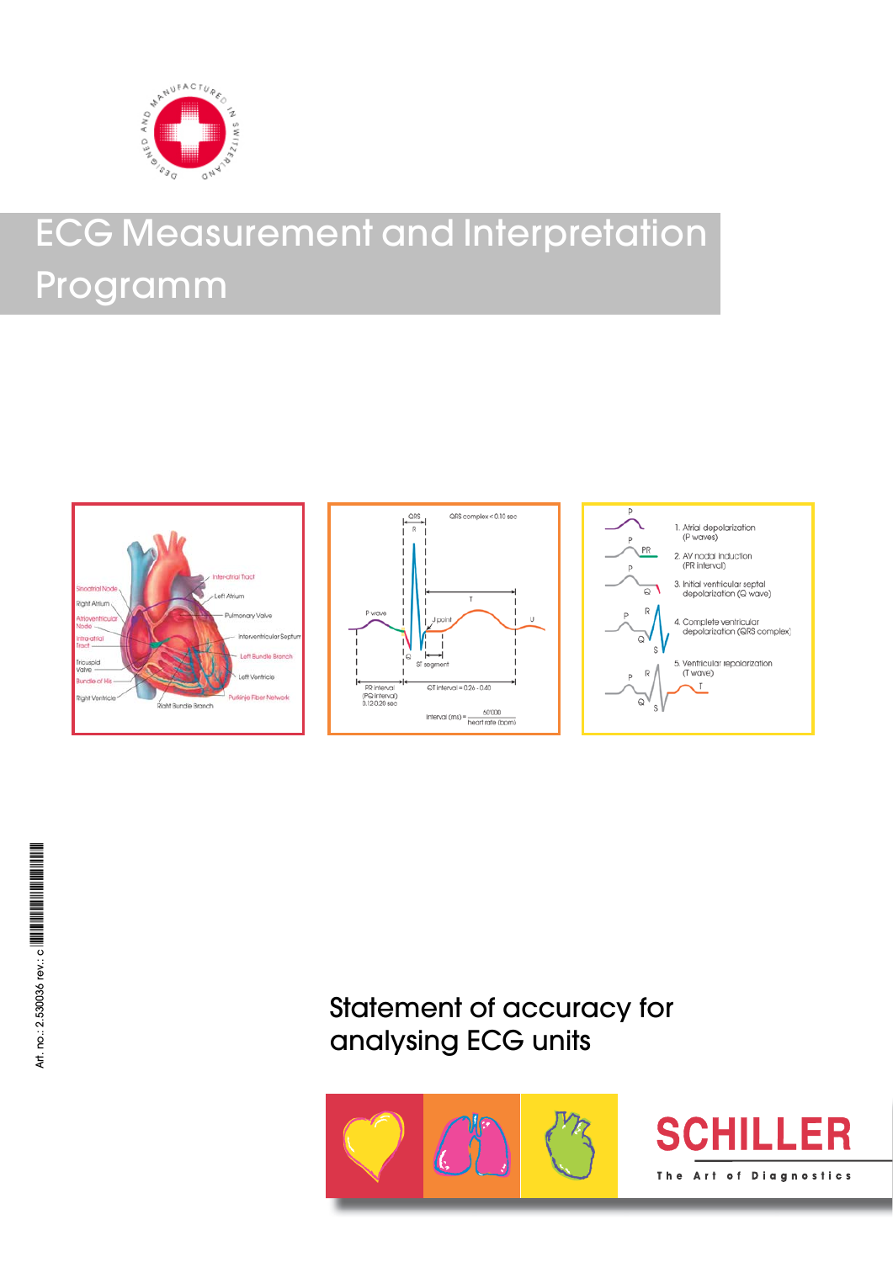

# ECG Measurement and Interpretation Programm







Statement of accuracy for analysing ECG units

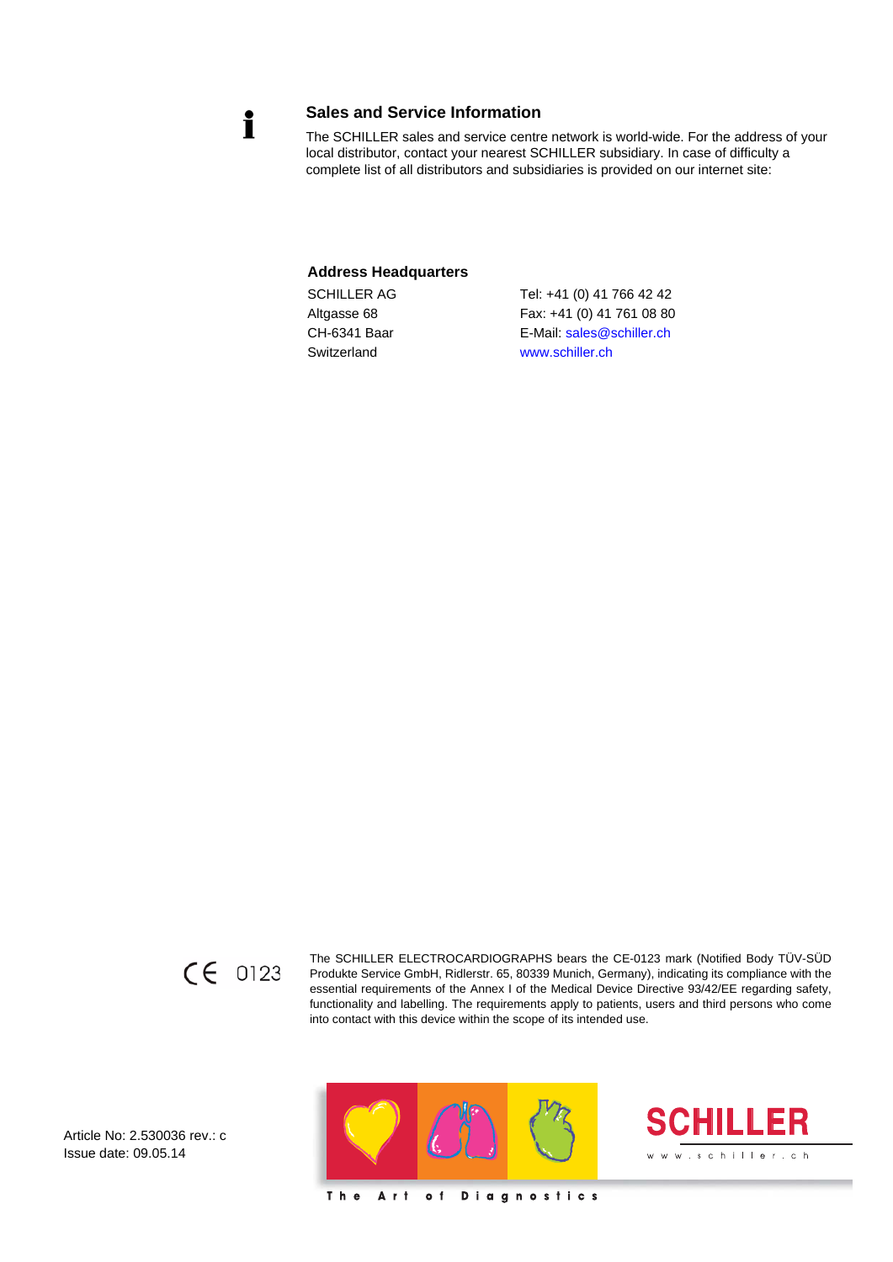

#### **Sales and Service Information**

The SCHILLER sales and service centre network is world-wide. For the address of your local distributor, contact your nearest SCHILLER subsidiary. In case of difficulty a complete list of all distributors and subsidiaries is provided on our internet site:

#### **Address Headquarters**

SCHILLER AG Tel: +41 (0) 41 766 42 42 Altgasse 68 Fax: +41 (0) 41 761 08 80 CH-6341 Baar E-Mail: sales@schiller.ch Switzerland www.schiller.ch

 $CE 0123$ 

The SCHILLER ELECTROCARDIOGRAPHS bears the CE-0123 mark (Notified Body TÜV-SÜD Produkte Service GmbH, Ridlerstr. 65, 80339 Munich, Germany), indicating its compliance with the essential requirements of the Annex I of the Medical Device Directive 93/42/EE regarding safety, functionality and labelling. The requirements apply to patients, users and third persons who come into contact with this device within the scope of its intended use.

Article No: 2.530036 rev.: c Issue date: 09.05.14



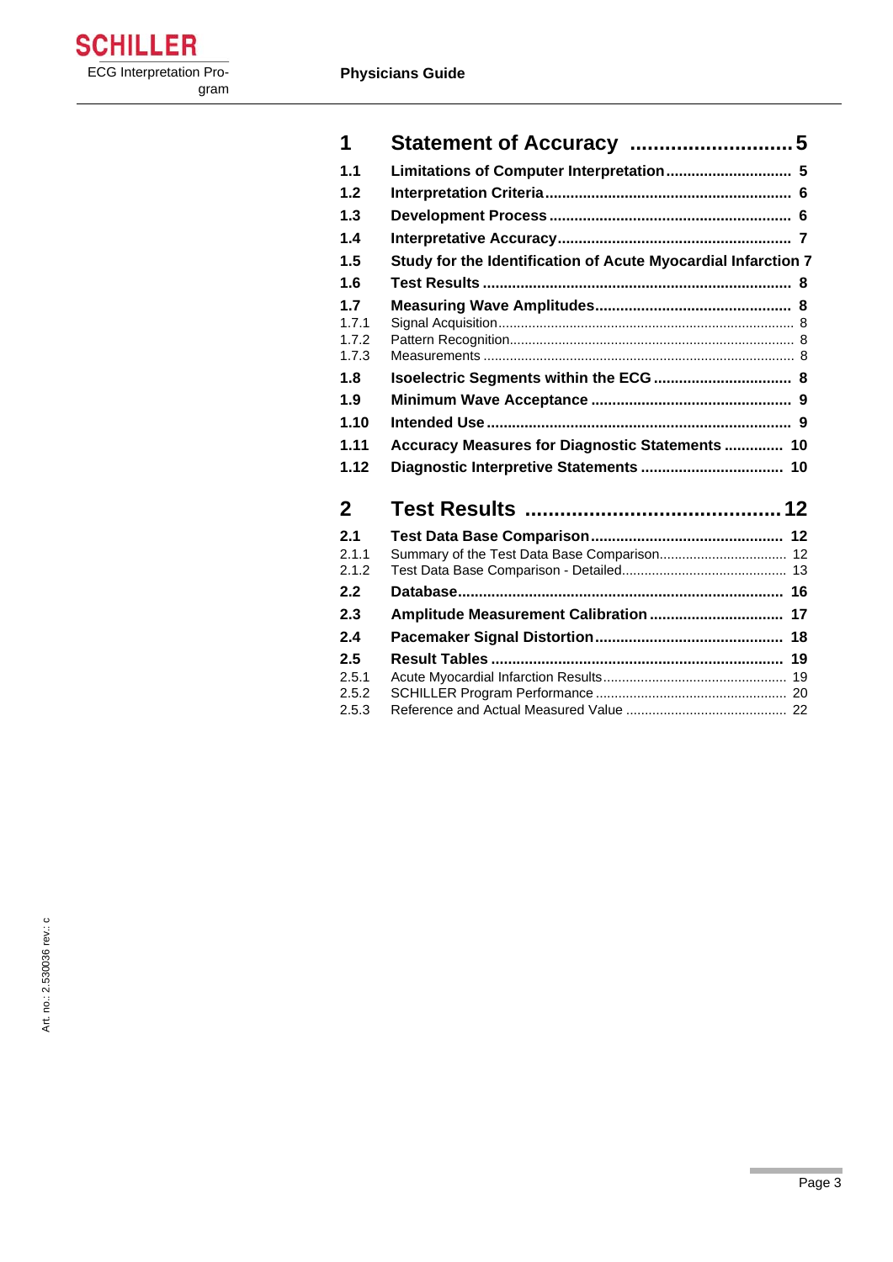| 1                              |                                                               |
|--------------------------------|---------------------------------------------------------------|
| 1.1                            | Limitations of Computer Interpretation 5                      |
| 1.2                            |                                                               |
| 1.3                            |                                                               |
| 1.4                            |                                                               |
| 1.5                            | Study for the Identification of Acute Myocardial Infarction 7 |
| 1.6                            |                                                               |
| 1.7                            |                                                               |
| 1.7.1                          |                                                               |
| 1.7.2<br>1.7.3                 |                                                               |
| 1.8                            |                                                               |
| 1.9                            |                                                               |
| 1.10                           |                                                               |
| 1.11                           | Accuracy Measures for Diagnostic Statements  10               |
| 1.12                           |                                                               |
| $\mathbf 2$                    |                                                               |
| 2.1<br>2.1.1<br>2.1.2          |                                                               |
| 2.2                            |                                                               |
| 2.3                            | Amplitude Measurement Calibration  17                         |
| 2.4                            |                                                               |
| 2.5<br>2.5.1<br>2.5.2<br>2.5.3 |                                                               |

**Contract**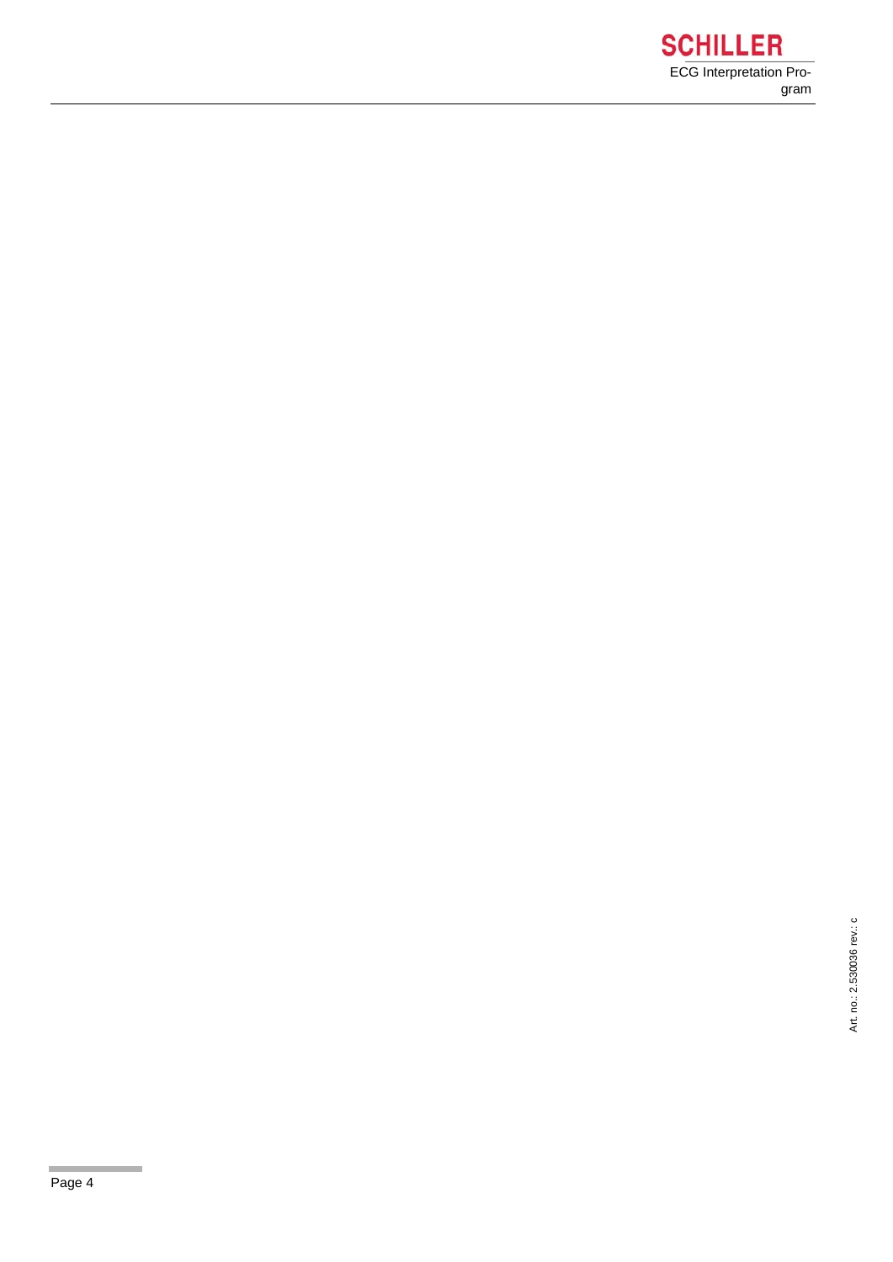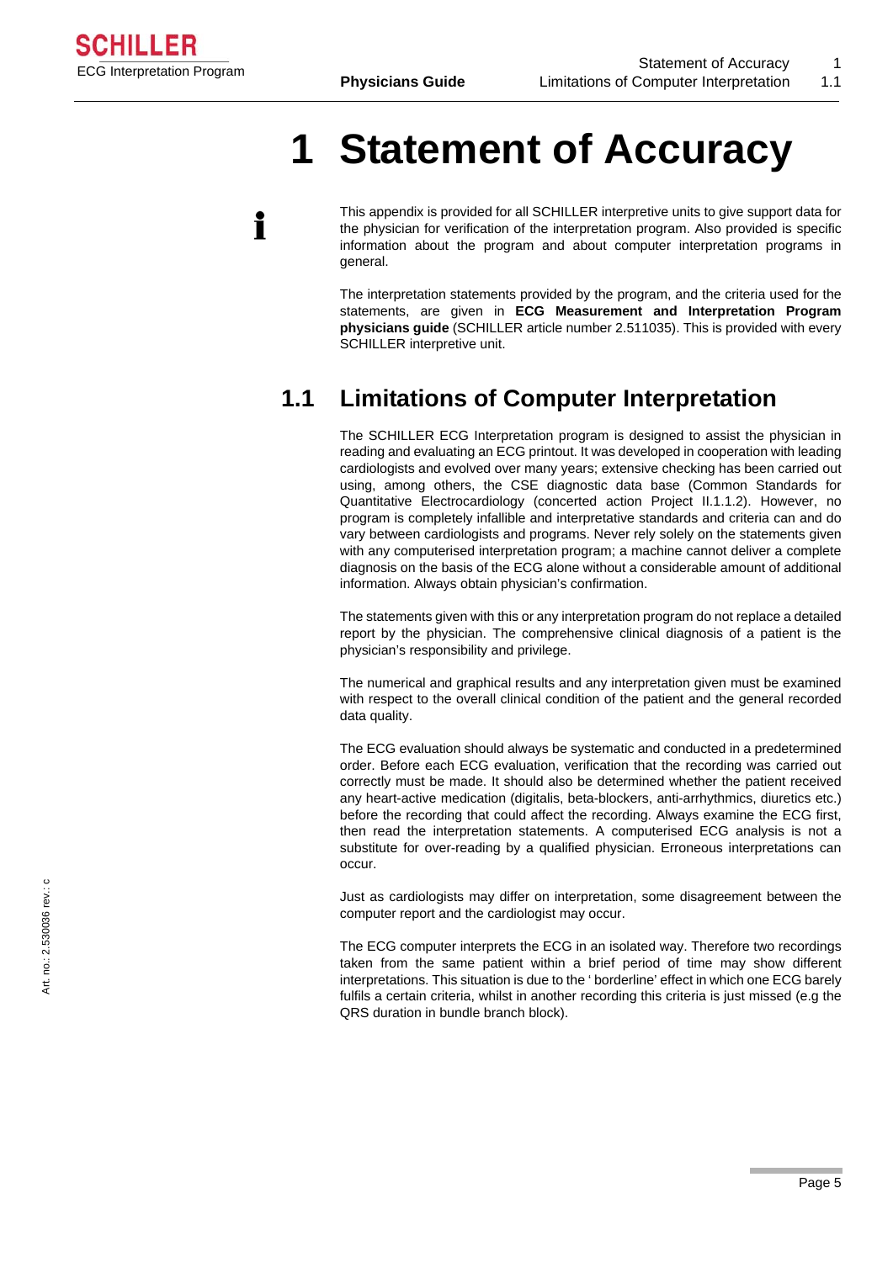<span id="page-4-0"></span>i

# **Statement of Accuracy**

This appendix is provided for all SCHILLER interpretive units to give support data for the physician for verification of the interpretation program. Also provided is specific information about the program and about computer interpretation programs in general.

The interpretation statements provided by the program, and the criteria used for the statements, are given in **ECG Measurement and Interpretation Program physicians guide** (SCHILLER article number 2.511035). This is provided with every SCHILLER interpretive unit.

# <span id="page-4-1"></span>**1.1 Limitations of Computer Interpretation**

The SCHILLER ECG Interpretation program is designed to assist the physician in reading and evaluating an ECG printout. It was developed in cooperation with leading cardiologists and evolved over many years; extensive checking has been carried out using, among others, the CSE diagnostic data base (Common Standards for Quantitative Electrocardiology (concerted action Project II.1.1.2). However, no program is completely infallible and interpretative standards and criteria can and do vary between cardiologists and programs. Never rely solely on the statements given with any computerised interpretation program; a machine cannot deliver a complete diagnosis on the basis of the ECG alone without a considerable amount of additional information. Always obtain physician's confirmation.

The statements given with this or any interpretation program do not replace a detailed report by the physician. The comprehensive clinical diagnosis of a patient is the physician's responsibility and privilege.

The numerical and graphical results and any interpretation given must be examined with respect to the overall clinical condition of the patient and the general recorded data quality.

The ECG evaluation should always be systematic and conducted in a predetermined order. Before each ECG evaluation, verification that the recording was carried out correctly must be made. It should also be determined whether the patient received any heart-active medication (digitalis, beta-blockers, anti-arrhythmics, diuretics etc.) before the recording that could affect the recording. Always examine the ECG first, then read the interpretation statements. A computerised ECG analysis is not a substitute for over-reading by a qualified physician. Erroneous interpretations can occur.

Just as cardiologists may differ on interpretation, some disagreement between the computer report and the cardiologist may occur.

The ECG computer interprets the ECG in an isolated way. Therefore two recordings taken from the same patient within a brief period of time may show different interpretations. This situation is due to the ' borderline' effect in which one ECG barely fulfils a certain criteria, whilst in another recording this criteria is just missed (e.g the QRS duration in bundle branch block).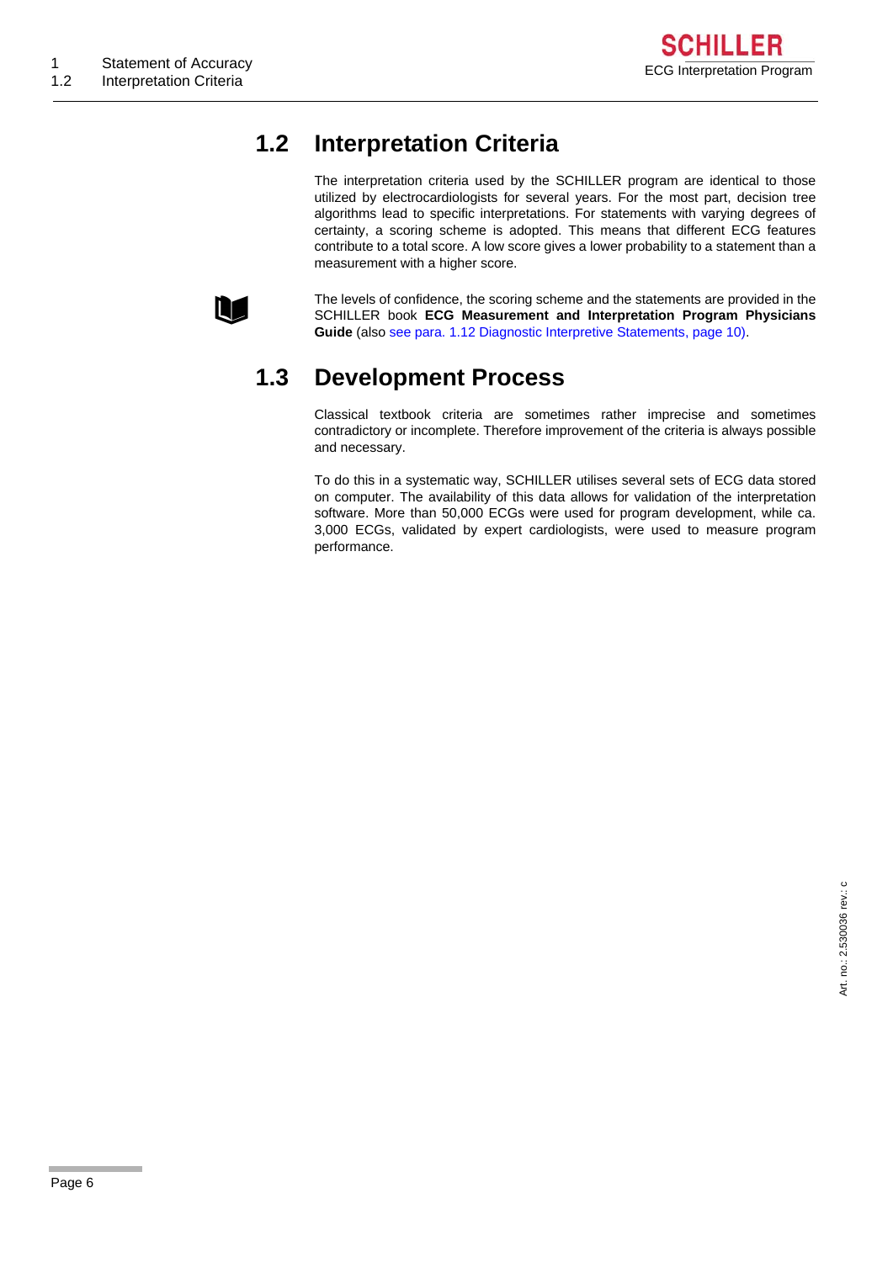### <span id="page-5-0"></span>**1.2 Interpretation Criteria**

The interpretation criteria used by the SCHILLER program are identical to those utilized by electrocardiologists for several years. For the most part, decision tree algorithms lead to specific interpretations. For statements with varying degrees of certainty, a scoring scheme is adopted. This means that different ECG features contribute to a total score. A low score gives a lower probability to a statement than a measurement with a higher score.

<span id="page-5-1"></span>

The levels of confidence, the scoring scheme and the statements are provided in the SCHILLER book **ECG Measurement and Interpretation Program Physicians Guide** (also [see para. 1.12 Diagnostic Interpretive Statements, page 10](#page-9-1)).

## **1.3 Development Process**

Classical textbook criteria are sometimes rather imprecise and sometimes contradictory or incomplete. Therefore improvement of the criteria is always possible and necessary.

To do this in a systematic way, SCHILLER utilises several sets of ECG data stored on computer. The availability of this data allows for validation of the interpretation software. More than 50,000 ECGs were used for program development, while ca. 3,000 ECGs, validated by expert cardiologists, were used to measure program performance.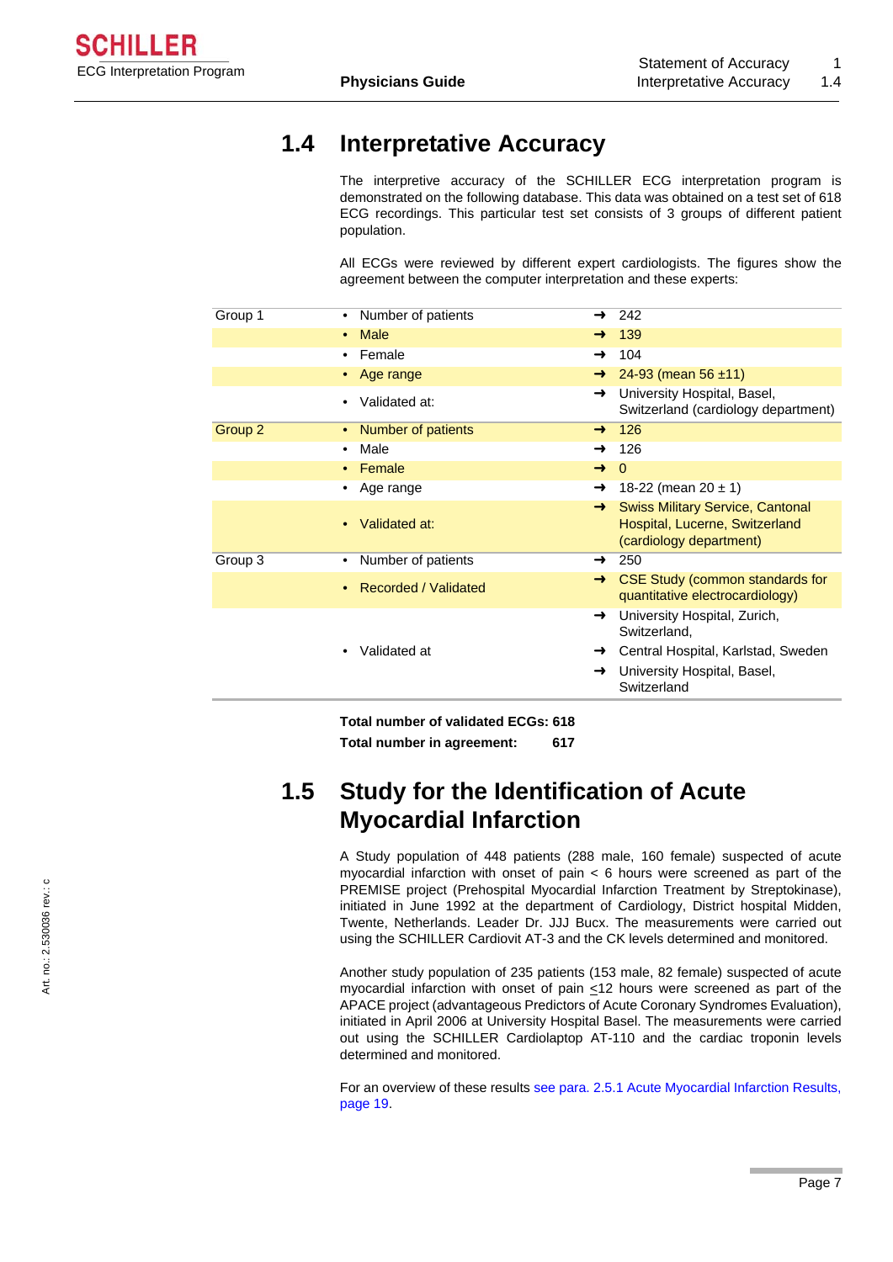# <span id="page-6-0"></span>**SCHILLER**

#### **1.4 Interpretative Accuracy**

The interpretive accuracy of the SCHILLER ECG interpretation program is demonstrated on the following database. This data was obtained on a test set of 618 ECG recordings. This particular test set consists of 3 groups of different patient population.

All ECGs were reviewed by different expert cardiologists. The figures show the agreement between the computer interpretation and these experts:

| Group 1 | Number of patients   |               | 242                                                                                                  |
|---------|----------------------|---------------|------------------------------------------------------------------------------------------------------|
|         | Male<br>$\bullet$    |               | $\rightarrow$ 139                                                                                    |
|         | Female<br>$\bullet$  | $\rightarrow$ | 104                                                                                                  |
|         | Age range            |               | $\rightarrow$ 24-93 (mean 56 ±11)                                                                    |
|         | Validated at:        | →             | University Hospital, Basel,<br>Switzerland (cardiology department)                                   |
| Group 2 | Number of patients   | $\rightarrow$ | 126                                                                                                  |
|         | Male<br>$\bullet$    | $\rightarrow$ | 126                                                                                                  |
|         | • Female             | $\rightarrow$ | $\Omega$                                                                                             |
|         | Age range            | $\rightarrow$ | 18-22 (mean $20 \pm 1$ )                                                                             |
|         | Validated at:        | $\rightarrow$ | <b>Swiss Military Service, Cantonal</b><br>Hospital, Lucerne, Switzerland<br>(cardiology department) |
| Group 3 | Number of patients   | →             | 250                                                                                                  |
|         | Recorded / Validated | $\rightarrow$ | CSE Study (common standards for<br>quantitative electrocardiology)                                   |
|         |                      | →             | University Hospital, Zurich,<br>Switzerland,                                                         |
|         | Validated at         | →<br>→        | Central Hospital, Karlstad, Sweden<br>University Hospital, Basel,<br>Switzerland                     |

**Total number of validated ECGs: 618 Total number in agreement: 617**

## <span id="page-6-1"></span>**1.5 Study for the Identification of Acute Myocardial Infarction**

A Study population of 448 patients (288 male, 160 female) suspected of acute myocardial infarction with onset of pain < 6 hours were screened as part of the PREMISE project (Prehospital Myocardial Infarction Treatment by Streptokinase), initiated in June 1992 at the department of Cardiology, District hospital Midden, Twente, Netherlands. Leader Dr. JJJ Bucx. The measurements were carried out using the SCHILLER Cardiovit AT-3 and the CK levels determined and monitored.

Another study population of 235 patients (153 male, 82 female) suspected of acute myocardial infarction with onset of pain  $\leq$ 12 hours were screened as part of the APACE project (advantageous Predictors of Acute Coronary Syndromes Evaluation), initiated in April 2006 at University Hospital Basel. The measurements were carried out using the SCHILLER Cardiolaptop AT-110 and the cardiac troponin levels determined and monitored.

For an overview of these results [see para. 2.5.1 Acute Myocardial Infarction Results,](#page-18-1) [page 19](#page-18-1).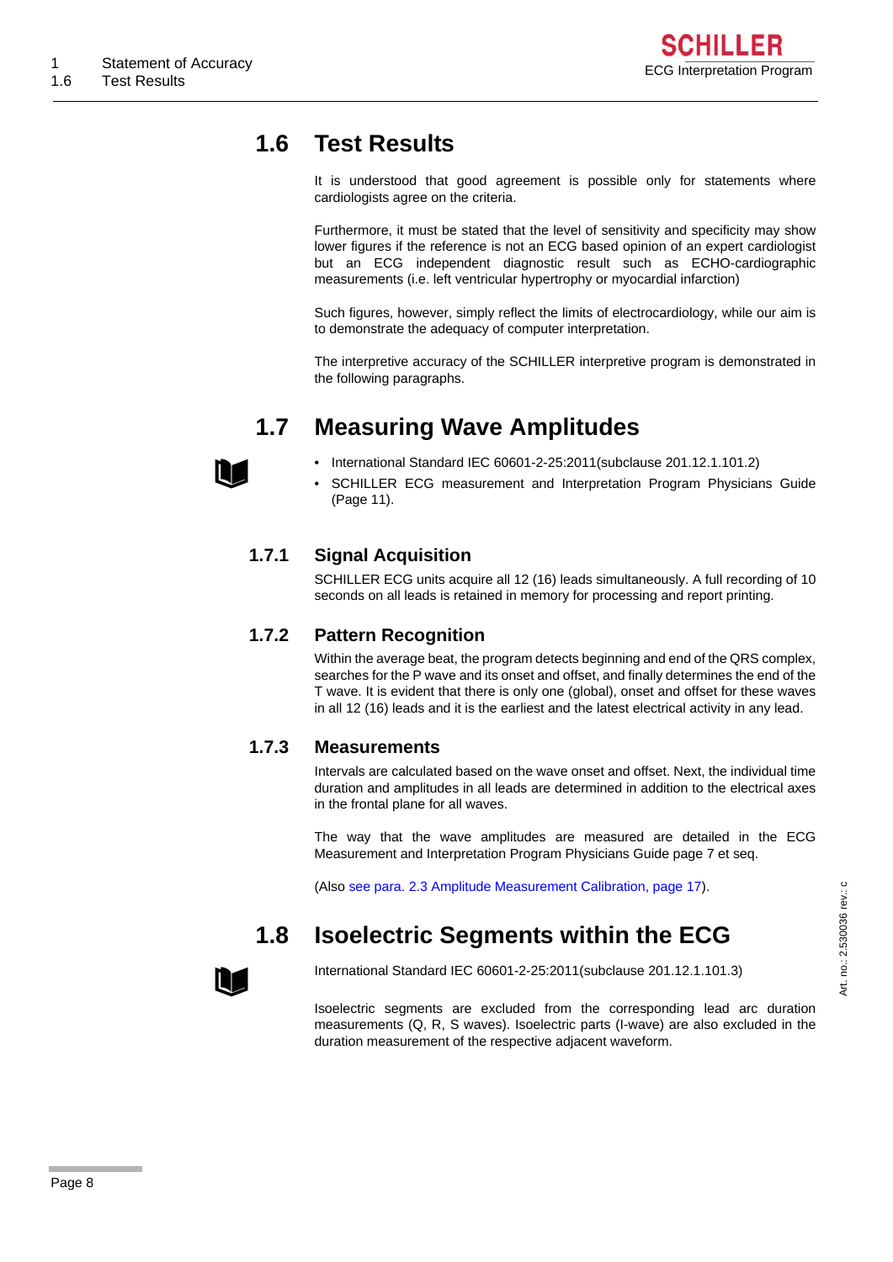#### <span id="page-7-0"></span>**1.6 Test Results**

It is understood that good agreement is possible only for statements where cardiologists agree on the criteria.

Furthermore, it must be stated that the level of sensitivity and specificity may show lower figures if the reference is not an ECG based opinion of an expert cardiologist but an ECG independent diagnostic result such as ECHO-cardiographic measurements (i.e. left ventricular hypertrophy or myocardial infarction)

Such figures, however, simply reflect the limits of electrocardiology, while our aim is to demonstrate the adequacy of computer interpretation.

The interpretive accuracy of the SCHILLER interpretive program is demonstrated in the following paragraphs.

## **1.7 Measuring Wave Amplitudes**

- <span id="page-7-2"></span><span id="page-7-1"></span>
- International Standard IEC 60601-2-25:2011(subclause 201.12.1.101.2)
- SCHILLER ECG measurement and Interpretation Program Physicians Guide (Page 11).

#### **1.7.1 Signal Acquisition**

SCHILLER ECG units acquire all 12 (16) leads simultaneously. A full recording of 10 seconds on all leads is retained in memory for processing and report printing.

#### <span id="page-7-3"></span>**1.7.2 Pattern Recognition**

Within the average beat, the program detects beginning and end of the QRS complex, searches for the P wave and its onset and offset, and finally determines the end of the T wave. It is evident that there is only one (global), onset and offset for these waves in all 12 (16) leads and it is the earliest and the latest electrical activity in any lead.

#### <span id="page-7-4"></span>**1.7.3 Measurements**

Intervals are calculated based on the wave onset and offset. Next, the individual time duration and amplitudes in all leads are determined in addition to the electrical axes in the frontal plane for all waves.

The way that the wave amplitudes are measured are detailed in the ECG Measurement and Interpretation Program Physicians Guide page 7 et seq.

(Also [see para. 2.3 Amplitude Measurement Calibration, page 17](#page-16-0)).

### **1.8 Isoelectric Segments within the ECG**

<span id="page-7-5"></span>

International Standard IEC 60601-2-25:2011(subclause 201.12.1.101.3)

Isoelectric segments are excluded from the corresponding lead arc duration measurements (Q, R, S waves). Isoelectric parts (I-wave) are also excluded in the duration measurement of the respective adjacent waveform.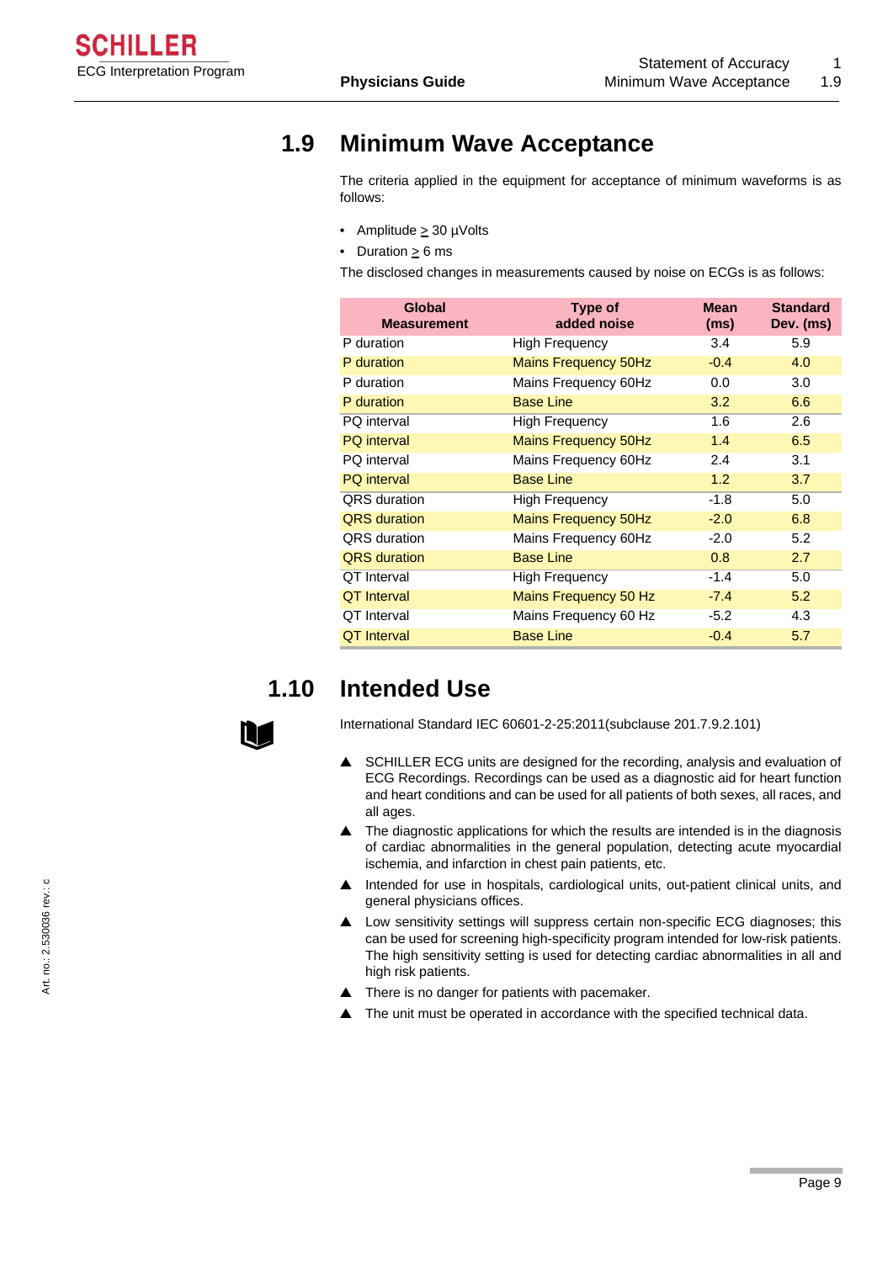# <span id="page-8-0"></span>**SCHILLER**

### **1.9 Minimum Wave Acceptance**

The criteria applied in the equipment for acceptance of minimum waveforms is as follows:

- Amplitude  $\geq 30$  µVolts
- Duration  $\geq 6$  ms

The disclosed changes in measurements caused by noise on ECGs is as follows:

| <b>Global</b><br><b>Measurement</b> | <b>Type of</b><br>added noise | <b>Mean</b><br>(ms) | <b>Standard</b><br>Dev. (ms) |
|-------------------------------------|-------------------------------|---------------------|------------------------------|
| P duration                          | High Frequency                | 3.4                 | 5.9                          |
| <b>P</b> duration                   | Mains Frequency 50Hz          | $-0.4$              | 4.0                          |
| P duration                          | Mains Frequency 60Hz          | 0.0                 | 3.0                          |
| P duration                          | <b>Base Line</b>              | 3.2                 | 6.6                          |
| PQ interval                         | High Frequency                | 1.6                 | 2.6                          |
| <b>PQ</b> interval                  | <b>Mains Frequency 50Hz</b>   | 1.4                 | 6.5                          |
| PQ interval                         | Mains Frequency 60Hz          | 2.4                 | 3.1                          |
| <b>PQ</b> interval                  | <b>Base Line</b>              | 1.2                 | 3.7                          |
| QRS duration                        | <b>High Frequency</b>         | $-1.8$              | 5.0                          |
| <b>QRS</b> duration                 | <b>Mains Frequency 50Hz</b>   | $-2.0$              | 6.8                          |
| <b>QRS</b> duration                 | Mains Frequency 60Hz          | $-2.0$              | 5.2                          |
| <b>QRS</b> duration                 | <b>Base Line</b>              | 0.8                 | 2.7                          |
| QT Interval                         | High Frequency                | $-1.4$              | 5.0                          |
| QT Interval                         | Mains Frequency 50 Hz         | $-7.4$              | 5.2                          |
| QT Interval                         | Mains Frequency 60 Hz         | $-5.2$              | 4.3                          |
| QT Interval                         | <b>Base Line</b>              | $-0.4$              | 5.7                          |

#### <span id="page-8-1"></span>**1.10 Intended Use**

International Standard IEC 60601-2-25:2011(subclause 201.7.9.2.101)

- ▲ SCHILLER ECG units are designed for the recording, analysis and evaluation of ECG Recordings. Recordings can be used as a diagnostic aid for heart function and heart conditions and can be used for all patients of both sexes, all races, and all ages.
- ▲ The diagnostic applications for which the results are intended is in the diagnosis of cardiac abnormalities in the general population, detecting acute myocardial ischemia, and infarction in chest pain patients, etc.
- Intended for use in hospitals, cardiological units, out-patient clinical units, and general physicians offices.
- Low sensitivity settings will suppress certain non-specific ECG diagnoses; this can be used for screening high-specificity program intended for low-risk patients. The high sensitivity setting is used for detecting cardiac abnormalities in all and high risk patients.
- There is no danger for patients with pacemaker.
- The unit must be operated in accordance with the specified technical data.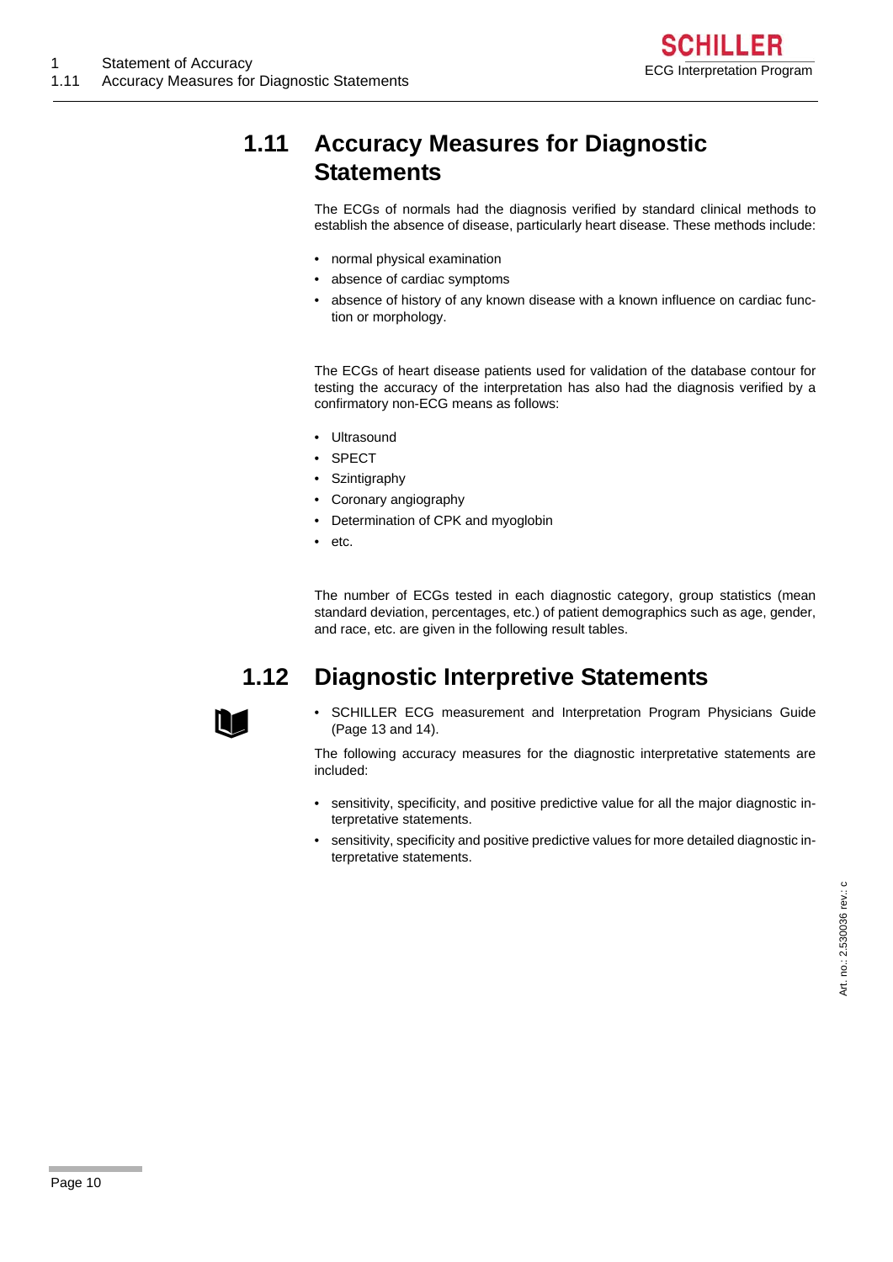## <span id="page-9-0"></span>**1.11 Accuracy Measures for Diagnostic Statements**

The ECGs of normals had the diagnosis verified by standard clinical methods to establish the absence of disease, particularly heart disease. These methods include:

- normal physical examination
- absence of cardiac symptoms
- absence of history of any known disease with a known influence on cardiac function or morphology.

The ECGs of heart disease patients used for validation of the database contour for testing the accuracy of the interpretation has also had the diagnosis verified by a confirmatory non-ECG means as follows:

- Ultrasound
- **SPECT**
- **Szintigraphy**
- Coronary angiography
- Determination of CPK and myoglobin
- etc.

The number of ECGs tested in each diagnostic category, group statistics (mean standard deviation, percentages, etc.) of patient demographics such as age, gender, and race, etc. are given in the following result tables.

#### **1.12 Diagnostic Interpretive Statements**

<span id="page-9-1"></span>

• SCHILLER ECG measurement and Interpretation Program Physicians Guide (Page 13 and 14).

The following accuracy measures for the diagnostic interpretative statements are included:

- sensitivity, specificity, and positive predictive value for all the major diagnostic interpretative statements.
- sensitivity, specificity and positive predictive values for more detailed diagnostic interpretative statements.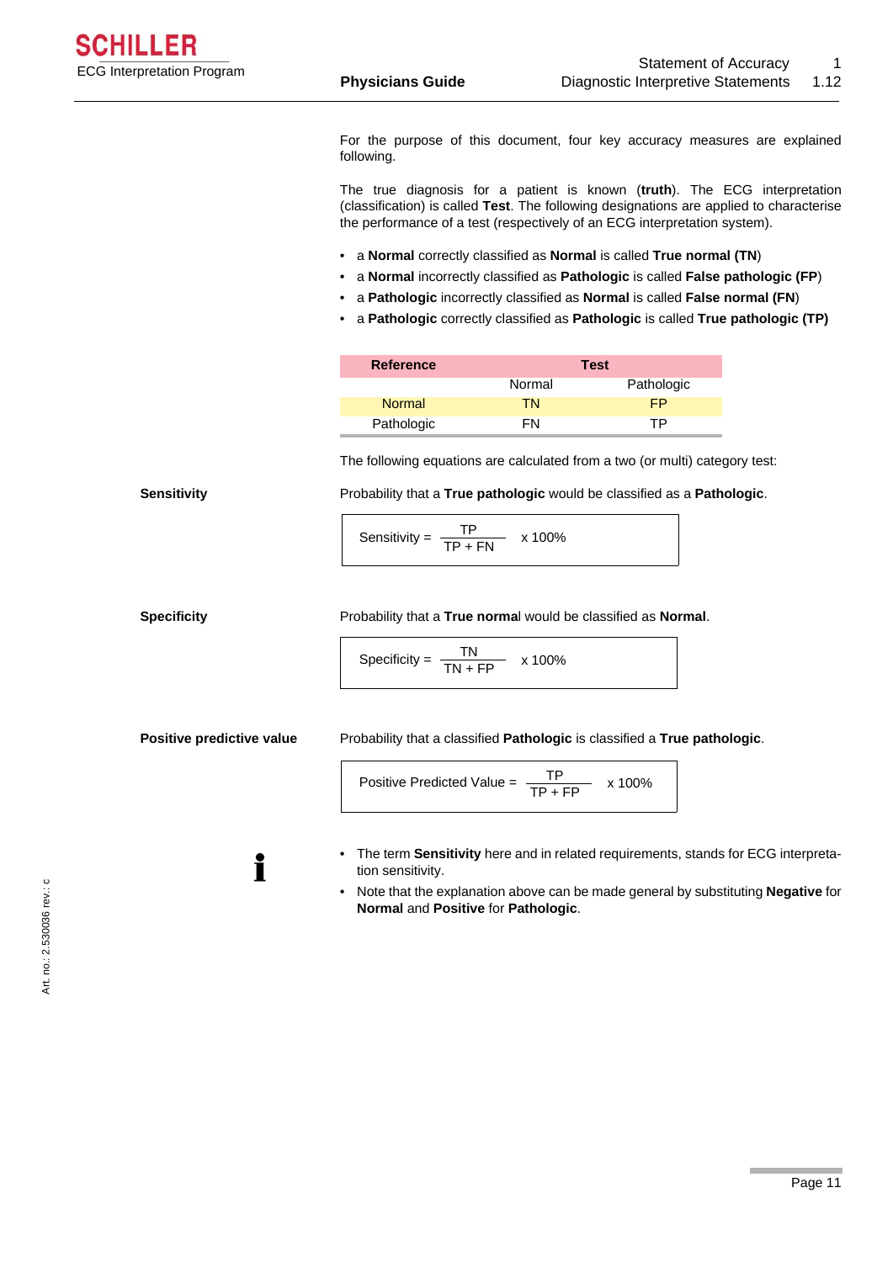For the purpose of this document, four key accuracy measures are explained following.

The true diagnosis for a patient is known (**truth**). The ECG interpretation (classification) is called **Test**. The following designations are applied to characterise the performance of a test (respectively of an ECG interpretation system).

- a **Normal** correctly classified as **Normal** is called **True normal (TN**)
- a **Normal** incorrectly classified as **Pathologic** is called **False pathologic (FP**)
- a **Pathologic** incorrectly classified as **Normal** is called **False normal (FN**)
- a **Pathologic** correctly classified as **Pathologic** is called **True pathologic (TP)**

| <b>Reference</b> |        | Test       |
|------------------|--------|------------|
|                  | Normal | Pathologic |
| Normal           | ΤN     | FP.        |
| Pathologic       | FN     | ΤР         |

The following equations are calculated from a two (or multi) category test:

**Sensitivity** Probability that a **True pathologic** would be classified as a **Pathologic**.

```
Sensitivity = \frac{TP}{TP + FN} x 100%
```
**Specificity** Probability that a **True norma**l would be classified as **Normal**.

$$
Specificity = \frac{TN}{TN + FP} \times 100\%
$$

**Positive predictive value** Probability that a classified **Pathologic** is classified a **True pathologic**.

Positive Predicted Value =  $\frac{TP}{TP + FP}$  x 100%

i

- The term **Sensitivity** here and in related requirements, stands for ECG interpretation sensitivity.
- Note that the explanation above can be made general by substituting **Negative** for **Normal** and **Positive** for **Pathologic**.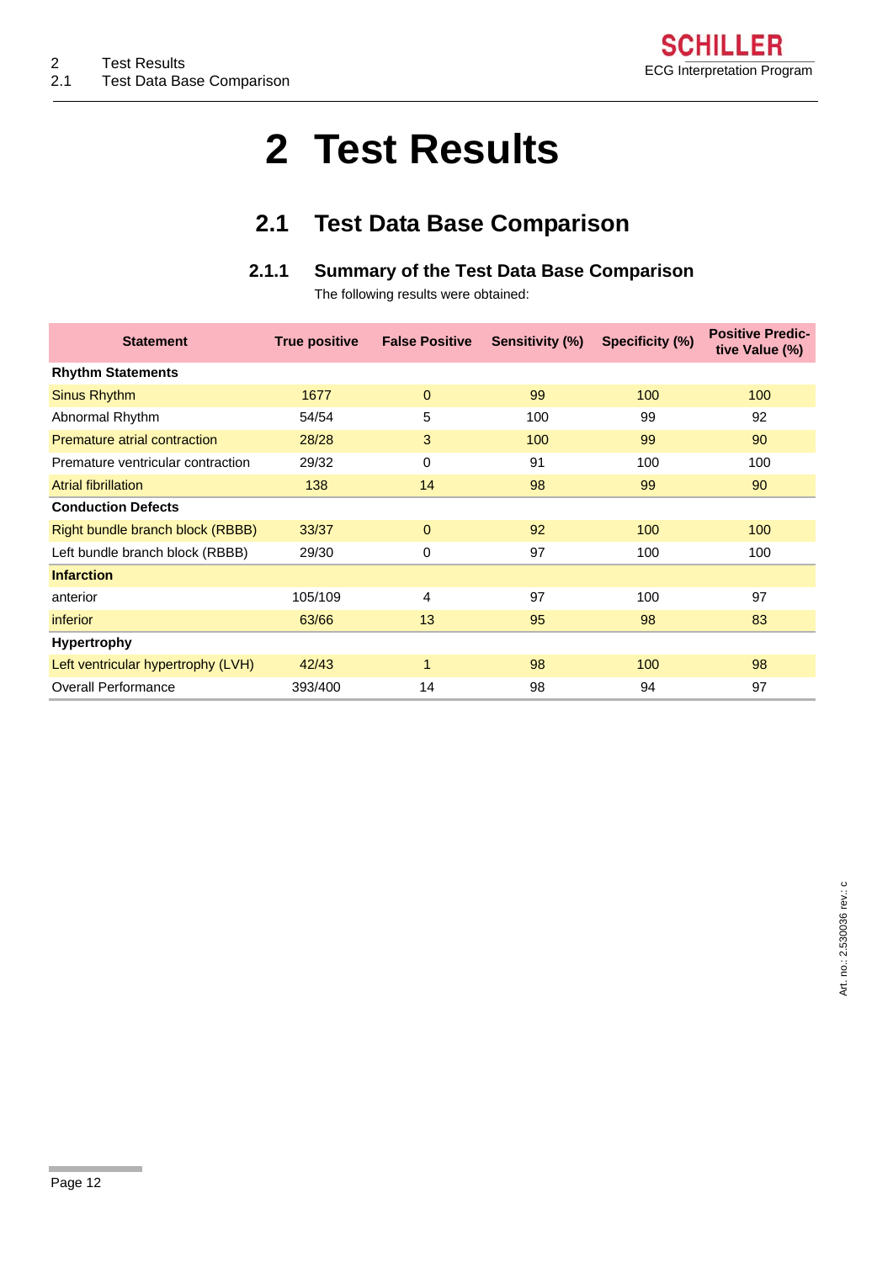

# **2 Test Results**

## **2.1 Test Data Base Comparison**

#### **2.1.1 Summary of the Test Data Base Comparison**

The following results were obtained:

<span id="page-11-2"></span><span id="page-11-1"></span><span id="page-11-0"></span>

| <b>Statement</b>                    | <b>True positive</b> | <b>False Positive</b> | Sensitivity (%) | Specificity (%) | <b>Positive Predic-</b><br>tive Value (%) |
|-------------------------------------|----------------------|-----------------------|-----------------|-----------------|-------------------------------------------|
| <b>Rhythm Statements</b>            |                      |                       |                 |                 |                                           |
| <b>Sinus Rhythm</b>                 | 1677                 | $\mathbf{0}$          | 99              | 100             | 100                                       |
| Abnormal Rhythm                     | 54/54                | 5                     | 100             | 99              | 92                                        |
| <b>Premature atrial contraction</b> | 28/28                | 3                     | 100             | 99              | 90                                        |
| Premature ventricular contraction   | 29/32                | 0                     | 91              | 100             | 100                                       |
| <b>Atrial fibrillation</b>          | 138                  | 14                    | 98              | 99              | 90                                        |
| <b>Conduction Defects</b>           |                      |                       |                 |                 |                                           |
| Right bundle branch block (RBBB)    | 33/37                | $\mathbf{0}$          | 92              | 100             | 100                                       |
| Left bundle branch block (RBBB)     | 29/30                | 0                     | 97              | 100             | 100                                       |
| <b>Infarction</b>                   |                      |                       |                 |                 |                                           |
| anterior                            | 105/109              | 4                     | 97              | 100             | 97                                        |
| <i>inferior</i>                     | 63/66                | 13                    | 95              | 98              | 83                                        |
| <b>Hypertrophy</b>                  |                      |                       |                 |                 |                                           |
| Left ventricular hypertrophy (LVH)  | 42/43                | $\mathbf{1}$          | 98              | 100             | 98                                        |
| <b>Overall Performance</b>          | 393/400              | 14                    | 98              | 94              | 97                                        |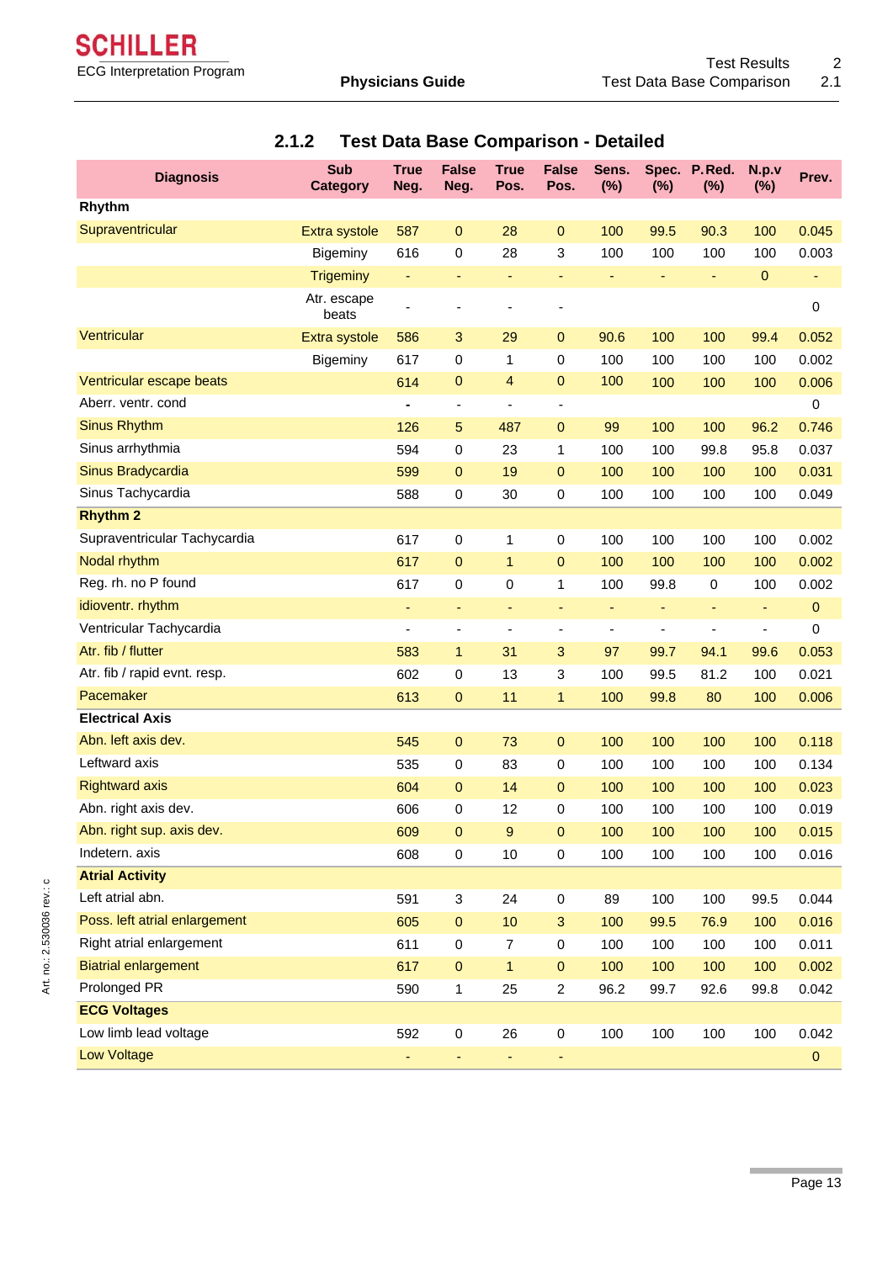<span id="page-12-0"></span>

| <b>Diagnosis</b>              | <b>Sub</b><br><b>Category</b> | <b>True</b><br>Neg. | <b>False</b><br>Neg.      | <b>True</b><br>Pos. | <b>False</b><br>Pos.     | Sens.<br>(%)             | Spec.<br>(%) | P.Red.<br>(%)                | N.p.v<br>$(\%)$ | Prev.     |
|-------------------------------|-------------------------------|---------------------|---------------------------|---------------------|--------------------------|--------------------------|--------------|------------------------------|-----------------|-----------|
| Rhythm                        |                               |                     |                           |                     |                          |                          |              |                              |                 |           |
| Supraventricular              | Extra systole                 | 587                 | $\pmb{0}$                 | 28                  | $\pmb{0}$                | 100                      | 99.5         | 90.3                         | 100             | 0.045     |
|                               | <b>Bigeminy</b>               | 616                 | $\boldsymbol{0}$          | 28                  | 3                        | 100                      | 100          | 100                          | 100             | 0.003     |
|                               | <b>Trigeminy</b>              | ÷                   | ÷                         | Ξ                   | ٠                        | ٠                        | ٠            | ÷                            | $\pmb{0}$       | ٠         |
|                               | Atr. escape<br>beats          | ÷                   |                           | $\overline{a}$      | $\overline{a}$           |                          |              |                              |                 | 0         |
| Ventricular                   | Extra systole                 | 586                 | 3                         | 29                  | 0                        | 90.6                     | 100          | 100                          | 99.4            | 0.052     |
|                               | <b>Bigeminy</b>               | 617                 | $\mathbf 0$               | 1                   | $\pmb{0}$                | 100                      | 100          | 100                          | 100             | 0.002     |
| Ventricular escape beats      |                               | 614                 | 0                         | 4                   | 0                        | 100                      | 100          | 100                          | 100             | 0.006     |
| Aberr. ventr. cond            |                               |                     | ٠                         | ٠                   |                          |                          |              |                              |                 | 0         |
| <b>Sinus Rhythm</b>           |                               | 126                 | 5                         | 487                 | $\pmb{0}$                | 99                       | 100          | 100                          | 96.2            | 0.746     |
| Sinus arrhythmia              |                               | 594                 | $\mathbf 0$               | 23                  | 1                        | 100                      | 100          | 99.8                         | 95.8            | 0.037     |
| Sinus Bradycardia             |                               | 599                 | 0                         | 19                  | $\mathbf 0$              | 100                      | 100          | 100                          | 100             | 0.031     |
| Sinus Tachycardia             |                               | 588                 | $\boldsymbol{0}$          | 30                  | 0                        | 100                      | 100          | 100                          | 100             | 0.049     |
| <b>Rhythm 2</b>               |                               |                     |                           |                     |                          |                          |              |                              |                 |           |
| Supraventricular Tachycardia  |                               | 617                 | $\boldsymbol{0}$          | $\mathbf{1}$        | $\pmb{0}$                | 100                      | 100          | 100                          | 100             | 0.002     |
| Nodal rhythm                  |                               | 617                 | 0                         | $\mathbf{1}$        | $\mathbf 0$              | 100                      | 100          | 100                          | 100             | 0.002     |
| Reg. rh. no P found           |                               | 617                 | $\boldsymbol{0}$          | 0                   | 1                        | 100                      | 99.8         | $\pmb{0}$                    | 100             | 0.002     |
| idioventr. rhythm             |                               | $\blacksquare$      | ÷                         | ٠                   | $\blacksquare$           | ٠                        | ٠            | ٠                            | Ξ               | $\pmb{0}$ |
| Ventricular Tachycardia       |                               |                     | $\overline{\phantom{a}}$  | $\blacksquare$      | $\overline{\phantom{a}}$ | $\overline{\phantom{a}}$ |              | $\qquad \qquad \blacksquare$ | -               | 0         |
| Atr. fib / flutter            |                               | 583                 | 1                         | 31                  | 3                        | 97                       | 99.7         | 94.1                         | 99.6            | 0.053     |
| Atr. fib / rapid evnt. resp.  |                               | 602                 | $\mathbf 0$               | 13                  | 3                        | 100                      | 99.5         | 81.2                         | 100             | 0.021     |
| Pacemaker                     |                               | 613                 | $\mathbf{0}$              | 11                  | $\mathbf{1}$             | 100                      | 99.8         | 80                           | 100             | 0.006     |
| <b>Electrical Axis</b>        |                               |                     |                           |                     |                          |                          |              |                              |                 |           |
| Abn. left axis dev.           |                               | 545                 | $\mathbf 0$               | 73                  | $\pmb{0}$                | 100                      | 100          | 100                          | 100             | 0.118     |
| Leftward axis                 |                               | 535                 | 0                         | 83                  | $\pmb{0}$                | 100                      | 100          | 100                          | 100             | 0.134     |
| <b>Rightward axis</b>         |                               | 604                 | $\mathbf 0$               | 14                  | $\mathbf 0$              | 100                      | 100          | 100                          | 100             | 0.023     |
| Abn. right axis dev.          |                               | 606                 | $\mathbf 0$               | 12                  | 0                        | 100                      | 100          | 100                          | 100             | 0.019     |
| Abn. right sup. axis dev.     |                               | 609                 | 0                         | 9                   | 0                        | 100                      | 100          | 100                          | 100             | 0.015     |
| Indetern. axis                |                               | 608                 | $\mathbf 0$               | $10$                | $\pmb{0}$                | 100                      | 100          | 100                          | 100             | 0.016     |
| <b>Atrial Activity</b>        |                               |                     |                           |                     |                          |                          |              |                              |                 |           |
| Left atrial abn.              |                               | 591                 | $\ensuremath{\mathsf{3}}$ | 24                  | $\pmb{0}$                | 89                       | 100          | 100                          | 99.5            | 0.044     |
| Poss. left atrial enlargement |                               | 605                 | $\pmb{0}$                 | 10                  | $\sqrt{3}$               | 100                      | 99.5         | 76.9                         | 100             | 0.016     |
| Right atrial enlargement      |                               | 611                 | $\mathbf 0$               | $\boldsymbol{7}$    | $\pmb{0}$                | 100                      | 100          | 100                          | 100             | 0.011     |
| <b>Biatrial enlargement</b>   |                               | 617                 | $\pmb{0}$                 | $\mathbf{1}$        | 0                        | 100                      | 100          | 100                          | 100             | 0.002     |
| Prolonged PR                  |                               | 590                 | $\mathbf{1}$              | 25                  | $\boldsymbol{2}$         | 96.2                     | 99.7         | 92.6                         | 99.8            | 0.042     |
| <b>ECG Voltages</b>           |                               |                     |                           |                     |                          |                          |              |                              |                 |           |
| Low limb lead voltage         |                               | 592                 | $\pmb{0}$                 | 26                  | $\mathbf 0$              | 100                      | 100          | 100                          | 100             | 0.042     |
| <b>Low Voltage</b>            |                               | ٠                   | ٠                         | ٠                   | ۰                        |                          |              |                              |                 | $\pmb{0}$ |

#### **2.1.2 Test Data Base Comparison - Detailed**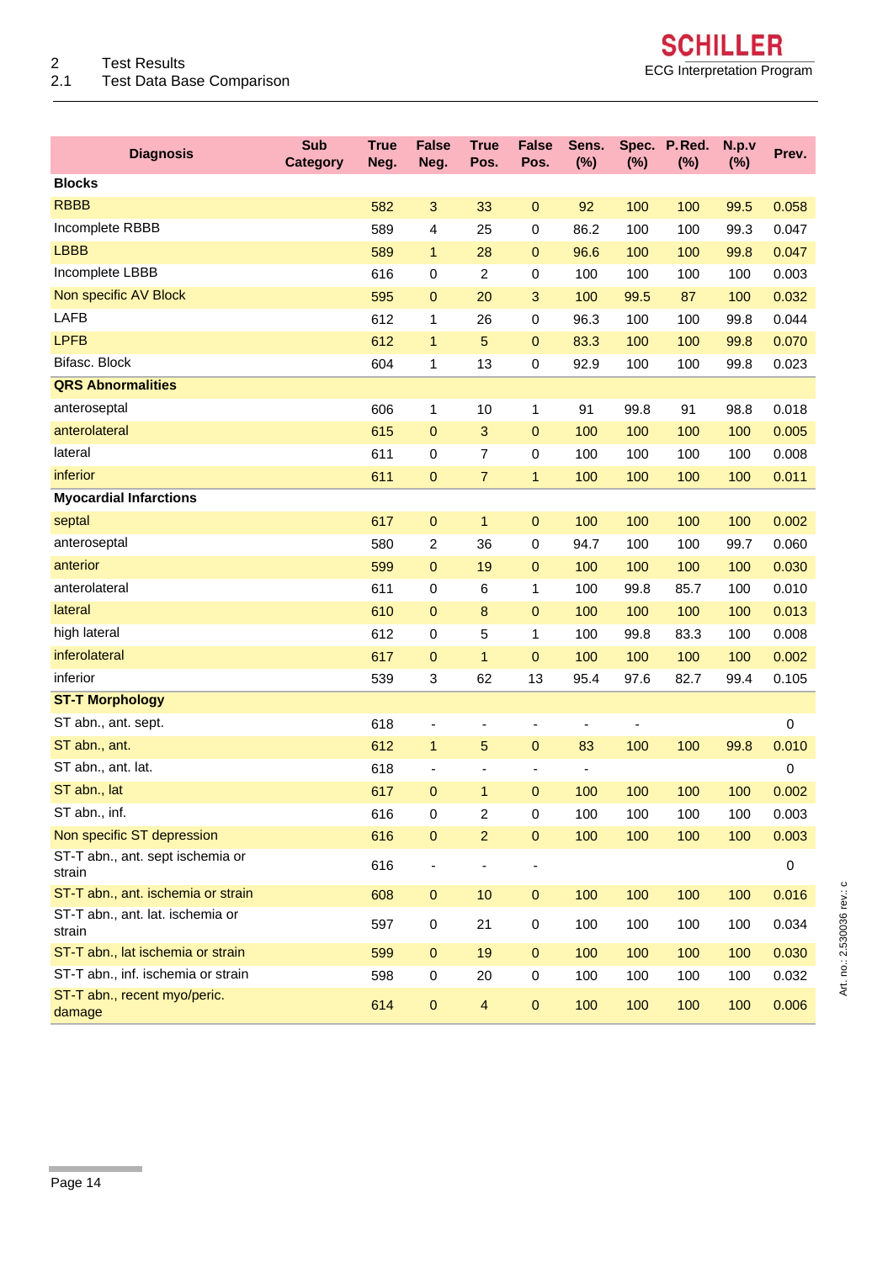# 2 Test Results<br>2.1 Test Data Ba

**Test Data Base Comparison** 

**SCHILLER** ECG Interpretation Program

| <b>Diagnosis</b>                           | Sub<br><b>Category</b> | <b>True</b><br>Neg. | <b>False</b><br>Neg.      | <b>True</b><br>Pos. | <b>False</b><br>Pos.     | Sens.<br>(%)             | Spec.<br>(%) | P.Red.<br>(%) | N.p.v<br>(%) | Prev. |
|--------------------------------------------|------------------------|---------------------|---------------------------|---------------------|--------------------------|--------------------------|--------------|---------------|--------------|-------|
| <b>Blocks</b>                              |                        |                     |                           |                     |                          |                          |              |               |              |       |
| <b>RBBB</b>                                |                        | 582                 | $\mathbf{3}$              | 33                  | $\pmb{0}$                | 92                       | 100          | 100           | 99.5         | 0.058 |
| Incomplete RBBB                            |                        | 589                 | 4                         | 25                  | 0                        | 86.2                     | 100          | 100           | 99.3         | 0.047 |
| <b>LBBB</b>                                |                        | 589                 | $\mathbf{1}$              | 28                  | $\mathbf 0$              | 96.6                     | 100          | 100           | 99.8         | 0.047 |
| Incomplete LBBB                            |                        | 616                 | 0                         | $\overline{c}$      | 0                        | 100                      | 100          | 100           | 100          | 0.003 |
| Non specific AV Block                      |                        | 595                 | $\pmb{0}$                 | 20                  | 3                        | 100                      | 99.5         | 87            | 100          | 0.032 |
| <b>LAFB</b>                                |                        | 612                 | 1                         | 26                  | 0                        | 96.3                     | 100          | 100           | 99.8         | 0.044 |
| <b>LPFB</b>                                |                        | 612                 | $\mathbf{1}$              | 5                   | $\mathbf 0$              | 83.3                     | 100          | 100           | 99.8         | 0.070 |
| Bifasc. Block                              |                        | 604                 | $\mathbf 1$               | 13                  | 0                        | 92.9                     | 100          | 100           | 99.8         | 0.023 |
| <b>QRS Abnormalities</b>                   |                        |                     |                           |                     |                          |                          |              |               |              |       |
| anteroseptal                               |                        | 606                 | 1                         | 10                  | 1                        | 91                       | 99.8         | 91            | 98.8         | 0.018 |
| anterolateral                              |                        | 615                 | $\mathbf 0$               | 3                   | $\mathbf{0}$             | 100                      | 100          | 100           | 100          | 0.005 |
| lateral                                    |                        | 611                 | 0                         | 7                   | 0                        | 100                      | 100          | 100           | 100          | 0.008 |
| inferior                                   |                        | 611                 | $\pmb{0}$                 | $\overline{7}$      | $\mathbf{1}$             | 100                      | 100          | 100           | 100          | 0.011 |
| <b>Myocardial Infarctions</b>              |                        |                     |                           |                     |                          |                          |              |               |              |       |
| septal                                     |                        | 617                 | $\pmb{0}$                 | $\mathbf{1}$        | $\pmb{0}$                | 100                      | 100          | 100           | 100          | 0.002 |
| anteroseptal                               |                        | 580                 | $\overline{c}$            | 36                  | 0                        | 94.7                     | 100          | 100           | 99.7         | 0.060 |
| anterior                                   |                        | 599                 | $\pmb{0}$                 | 19                  | $\pmb{0}$                | 100                      | 100          | 100           | 100          | 0.030 |
| anterolateral                              |                        | 611                 | 0                         | 6                   | 1                        | 100                      | 99.8         | 85.7          | 100          | 0.010 |
| lateral                                    |                        | 610                 | 0                         | 8                   | $\mathbf 0$              | 100                      | 100          | 100           | 100          | 0.013 |
| high lateral                               |                        | 612                 | 0                         | 5                   | 1                        | 100                      | 99.8         | 83.3          | 100          | 0.008 |
| inferolateral                              |                        | 617                 | 0                         | $\mathbf{1}$        | $\mathbf 0$              | 100                      | 100          | 100           | 100          | 0.002 |
| inferior                                   |                        | 539                 | $\ensuremath{\mathsf{3}}$ | 62                  | 13                       | 95.4                     | 97.6         | 82.7          | 99.4         | 0.105 |
| <b>ST-T Morphology</b>                     |                        |                     |                           |                     |                          |                          |              |               |              |       |
| ST abn., ant. sept.                        |                        | 618                 | $\blacksquare$            | $\blacksquare$      | $\blacksquare$           | $\overline{\phantom{a}}$ | Ĭ.           |               |              | 0     |
| ST abn., ant.                              |                        | 612                 | $\mathbf{1}$              | 5                   | $\pmb{0}$                | 83                       | 100          | 100           | 99.8         | 0.010 |
| ST abn., ant. lat.                         |                        | 618                 | $\overline{\phantom{0}}$  | $\blacksquare$      | $\blacksquare$           | $\overline{a}$           |              |               |              | 0     |
| ST abn., lat                               |                        | 617                 | $\mathbf 0$               | $\mathbf{1}$        | 0                        | 100                      | 100          | 100           | 100          | 0.002 |
| ST abn., inf.                              |                        | 616                 | 0                         | $\overline{c}$      | 0                        | 100                      | 100          | 100           | 100          | 0.003 |
| Non specific ST depression                 |                        | 616                 | $\pmb{0}$                 | $\overline{2}$      | $\pmb{0}$                | 100                      | 100          | 100           | 100          | 0.003 |
| ST-T abn., ant. sept ischemia or<br>strain |                        | 616                 |                           |                     | $\overline{\phantom{0}}$ |                          |              |               |              | 0     |
| ST-T abn., ant. ischemia or strain         |                        | 608                 | $\pmb{0}$                 | 10                  | $\pmb{0}$                | 100                      | 100          | 100           | 100          | 0.016 |
| ST-T abn., ant. lat. ischemia or<br>strain |                        | 597                 | 0                         | 21                  | $\pmb{0}$                | 100                      | 100          | 100           | 100          | 0.034 |
| ST-T abn., lat ischemia or strain          |                        | 599                 | $\pmb{0}$                 | 19                  | $\pmb{0}$                | 100                      | 100          | 100           | 100          | 0.030 |
| ST-T abn., inf. ischemia or strain         |                        | 598                 | 0                         | 20                  | $\pmb{0}$                | 100                      | 100          | 100           | 100          | 0.032 |
| ST-T abn., recent myo/peric.<br>damage     |                        | 614                 | $\pmb{0}$                 | $\overline{4}$      | $\pmb{0}$                | 100                      | 100          | 100           | 100          | 0.006 |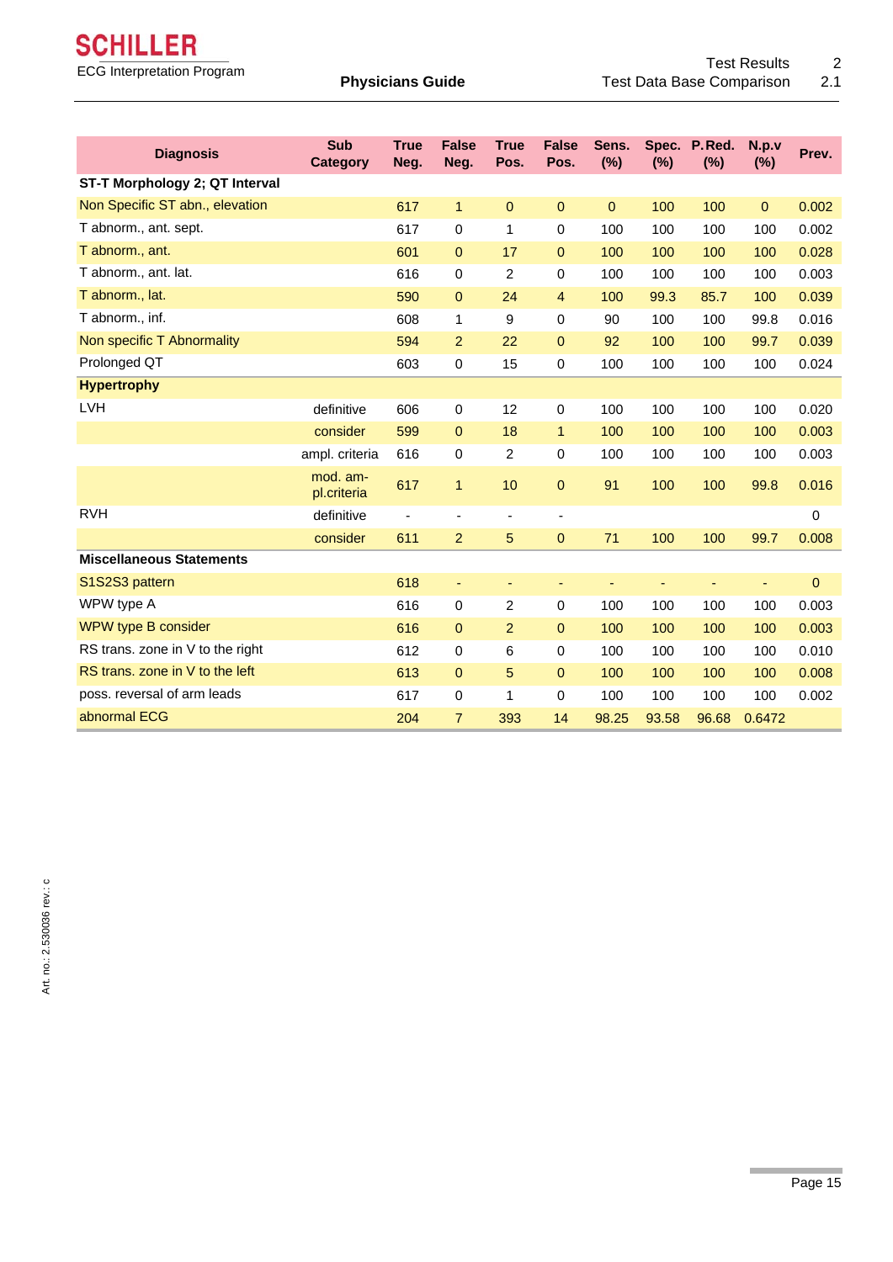**SCHILLER** 

| <b>Diagnosis</b>                 | <b>Sub</b><br>Category  | <b>True</b><br>Neg. | <b>False</b><br>Neg. | <b>True</b><br>Pos. | <b>False</b><br>Pos.     | Sens.<br>(%) | Spec.<br>(%) | P.Red.<br>(%) | N.p.v<br>$(\%)$ | Prev.       |
|----------------------------------|-------------------------|---------------------|----------------------|---------------------|--------------------------|--------------|--------------|---------------|-----------------|-------------|
| ST-T Morphology 2; QT Interval   |                         |                     |                      |                     |                          |              |              |               |                 |             |
| Non Specific ST abn., elevation  |                         | 617                 | $\mathbf{1}$         | $\bf 0$             | $\overline{0}$           | $\pmb{0}$    | 100          | 100           | $\pmb{0}$       | 0.002       |
| T abnorm., ant. sept.            |                         | 617                 | 0                    | 1                   | 0                        | 100          | 100          | 100           | 100             | 0.002       |
| T abnorm., ant.                  |                         | 601                 | $\overline{0}$       | 17                  | $\overline{0}$           | 100          | 100          | 100           | 100             | 0.028       |
| T abnorm., ant. lat.             |                         | 616                 | $\mathbf 0$          | $\overline{c}$      | 0                        | 100          | 100          | 100           | 100             | 0.003       |
| T abnorm., lat.                  |                         | 590                 | $\mathbf 0$          | 24                  | 4                        | 100          | 99.3         | 85.7          | 100             | 0.039       |
| T abnorm., inf.                  |                         | 608                 | 1                    | 9                   | 0                        | 90           | 100          | 100           | 99.8            | 0.016       |
| Non specific T Abnormality       |                         | 594                 | $\overline{a}$       | 22                  | $\mathbf{0}$             | 92           | 100          | 100           | 99.7            | 0.039       |
| Prolonged QT                     |                         | 603                 | 0                    | 15                  | 0                        | 100          | 100          | 100           | 100             | 0.024       |
| <b>Hypertrophy</b>               |                         |                     |                      |                     |                          |              |              |               |                 |             |
| LVH                              | definitive              | 606                 | 0                    | 12                  | 0                        | 100          | 100          | 100           | 100             | 0.020       |
|                                  | consider                | 599                 | $\overline{0}$       | 18                  | $\mathbf{1}$             | 100          | 100          | 100           | 100             | 0.003       |
|                                  | ampl. criteria          | 616                 | 0                    | 2                   | 0                        | 100          | 100          | 100           | 100             | 0.003       |
|                                  | mod. am-<br>pl.criteria | 617                 | $\mathbf{1}$         | 10                  | $\mathbf 0$              | 91           | 100          | 100           | 99.8            | 0.016       |
| <b>RVH</b>                       | definitive              |                     |                      | ٠                   | $\overline{a}$           |              |              |               |                 | 0           |
|                                  | consider                | 611                 | $\overline{a}$       | 5                   | 0                        | 71           | 100          | 100           | 99.7            | 0.008       |
| <b>Miscellaneous Statements</b>  |                         |                     |                      |                     |                          |              |              |               |                 |             |
| S1S2S3 pattern                   |                         | 618                 | $\blacksquare$       | ٠                   | $\overline{\phantom{a}}$ | ٠            | ÷            | ٠             | Ξ               | $\mathbf 0$ |
| WPW type A                       |                         | 616                 | 0                    | 2                   | 0                        | 100          | 100          | 100           | 100             | 0.003       |
| WPW type B consider              |                         | 616                 | $\overline{0}$       | $\overline{2}$      | $\mathbf{0}$             | 100          | 100          | 100           | 100             | 0.003       |
| RS trans. zone in V to the right |                         | 612                 | $\mathbf 0$          | 6                   | 0                        | 100          | 100          | 100           | 100             | 0.010       |
| RS trans. zone in V to the left  |                         | 613                 | $\overline{0}$       | 5                   | $\overline{0}$           | 100          | 100          | 100           | 100             | 0.008       |
| poss. reversal of arm leads      |                         | 617                 | 0                    | 1                   | 0                        | 100          | 100          | 100           | 100             | 0.002       |
| abnormal ECG                     |                         | 204                 | $\overline{7}$       | 393                 | 14                       | 98.25        | 93.58        | 96.68         | 0.6472          |             |

×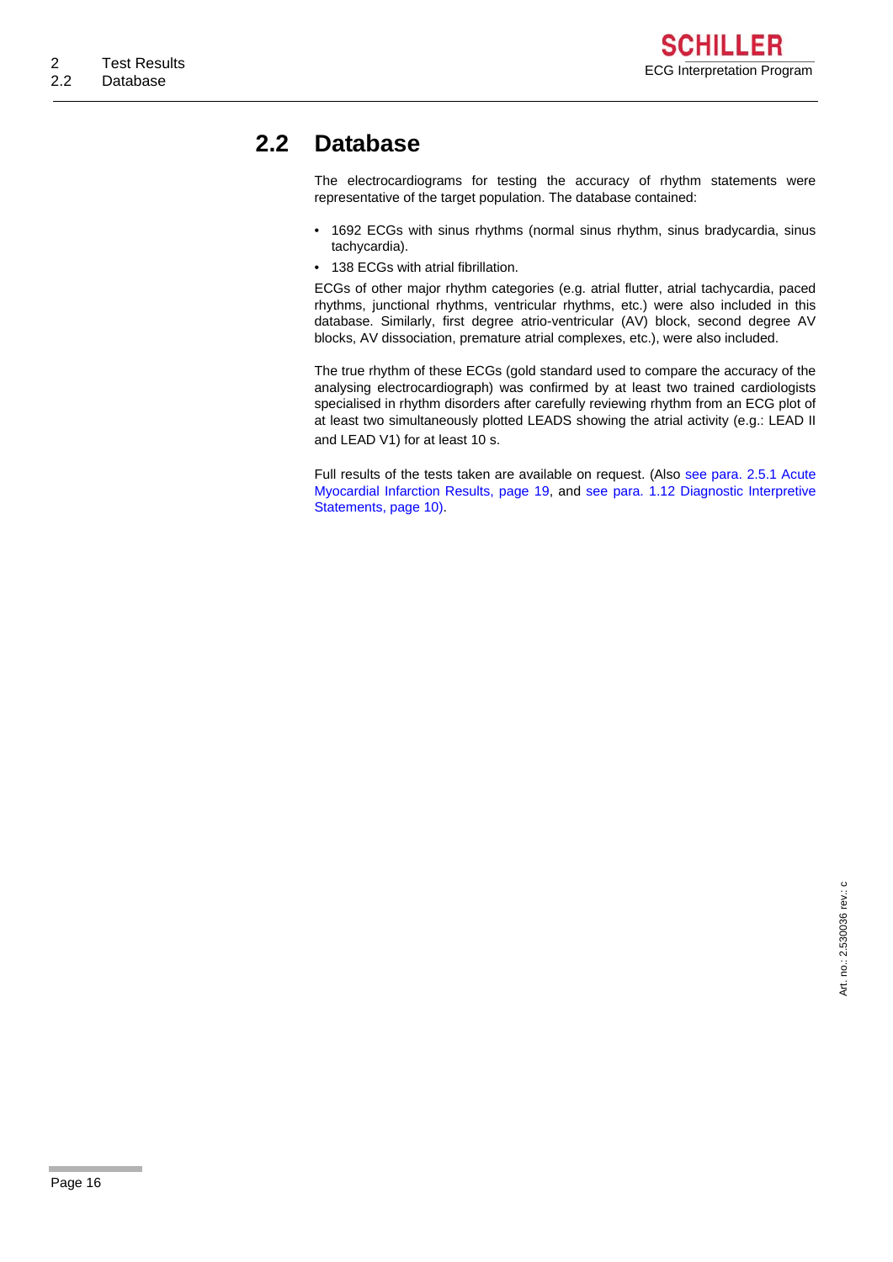#### <span id="page-15-0"></span>**2.2 Database**

The electrocardiograms for testing the accuracy of rhythm statements were representative of the target population. The database contained:

- 1692 ECGs with sinus rhythms (normal sinus rhythm, sinus bradycardia, sinus tachycardia).
- 138 ECGs with atrial fibrillation.

ECGs of other major rhythm categories (e.g. atrial flutter, atrial tachycardia, paced rhythms, junctional rhythms, ventricular rhythms, etc.) were also included in this database. Similarly, first degree atrio-ventricular (AV) block, second degree AV blocks, AV dissociation, premature atrial complexes, etc.), were also included.

The true rhythm of these ECGs (gold standard used to compare the accuracy of the analysing electrocardiograph) was confirmed by at least two trained cardiologists specialised in rhythm disorders after carefully reviewing rhythm from an ECG plot of at least two simultaneously plotted LEADS showing the atrial activity (e.g.: LEAD II and LEAD V1) for at least 10 s.

Full results of the tests taken are available on request. (Also [see para. 2.5.1 Acute](#page-18-1) [Myocardial Infarction Results, page 19](#page-18-1), and [see para. 1.12 Diagnostic Interpretive](#page-9-1) [Statements, page 10\)](#page-9-1).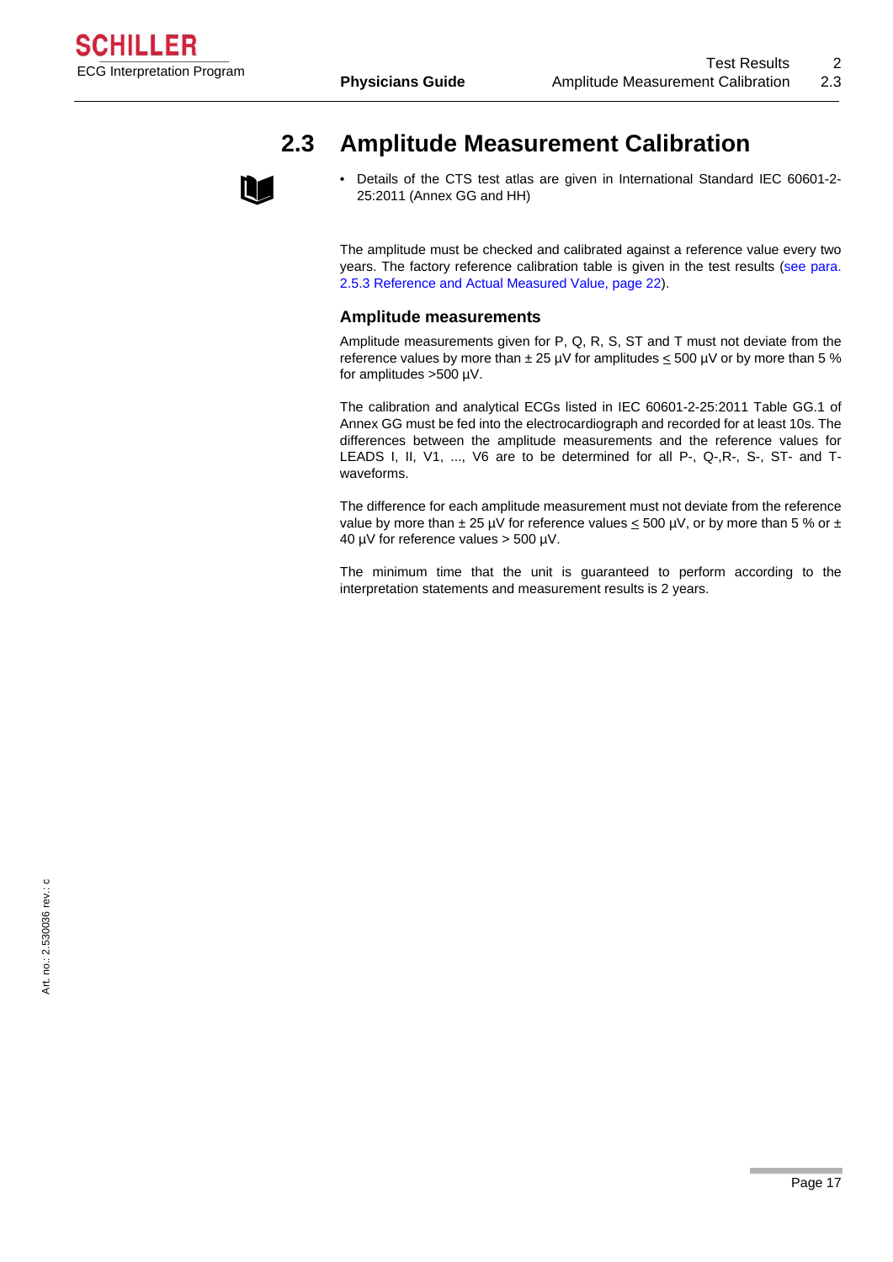<span id="page-16-0"></span>

### **2.3 Amplitude Measurement Calibration**

- 
- Details of the CTS test atlas are given in International Standard IEC 60601-2- 25:2011 (Annex GG and HH)

The amplitude must be checked and calibrated against a reference value every two years. The factory reference calibration table is given in the test results ([see para.](#page-21-0) [2.5.3 Reference and Actual Measured Value, page 22](#page-21-0)).

#### **Amplitude measurements**

Amplitude measurements given for P, Q, R, S, ST and T must not deviate from the reference values by more than  $\pm 25 \mu V$  for amplitudes  $\leq 500 \mu V$  or by more than 5 % for amplitudes >500 µV.

The calibration and analytical ECGs listed in IEC 60601-2-25:2011 Table GG.1 of Annex GG must be fed into the electrocardiograph and recorded for at least 10s. The differences between the amplitude measurements and the reference values for LEADS I, II, V1, ..., V6 are to be determined for all P-, Q-,R-, S-, ST- and Twaveforms.

The difference for each amplitude measurement must not deviate from the reference value by more than  $\pm 25 \mu V$  for reference values  $\leq 500 \mu V$ , or by more than 5 % or  $\pm$ 40 µV for reference values  $>$  500 µV.

The minimum time that the unit is guaranteed to perform according to the interpretation statements and measurement results is 2 years.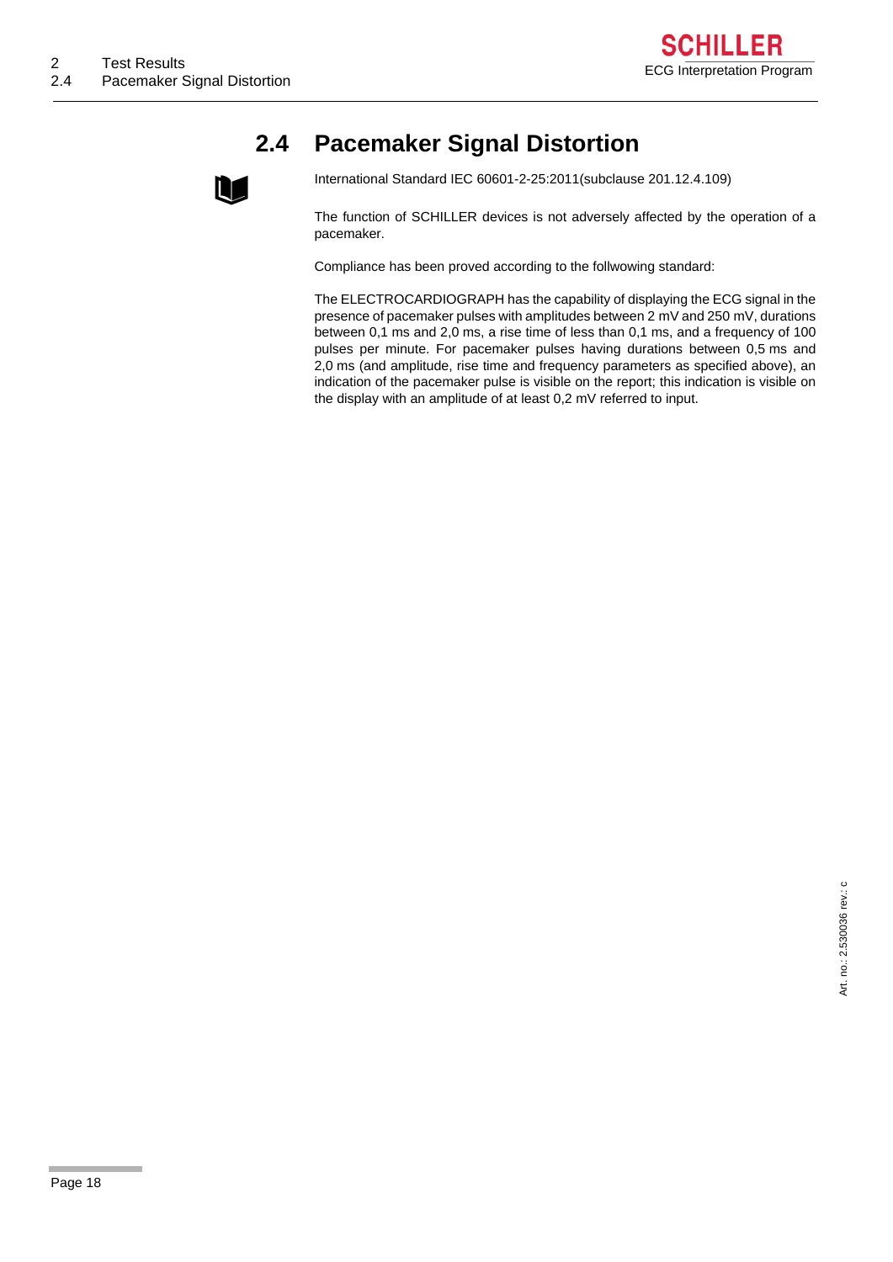## **2.4 Pacemaker Signal Distortion**

<span id="page-17-0"></span>

International Standard IEC 60601-2-25:2011(subclause 201.12.4.109)

The function of SCHILLER devices is not adversely affected by the operation of a pacemaker.

Compliance has been proved according to the follwowing standard:

The ELECTROCARDIOGRAPH has the capability of displaying the ECG signal in the presence of pacemaker pulses with amplitudes between 2 mV and 250 mV, durations between 0,1 ms and 2,0 ms, a rise time of less than 0,1 ms, and a frequency of 100 pulses per minute. For pacemaker pulses having durations between 0,5 ms and 2,0 ms (and amplitude, rise time and frequency parameters as specified above), an indication of the pacemaker pulse is visible on the report; this indication is visible on the display with an amplitude of at least 0,2 mV referred to input.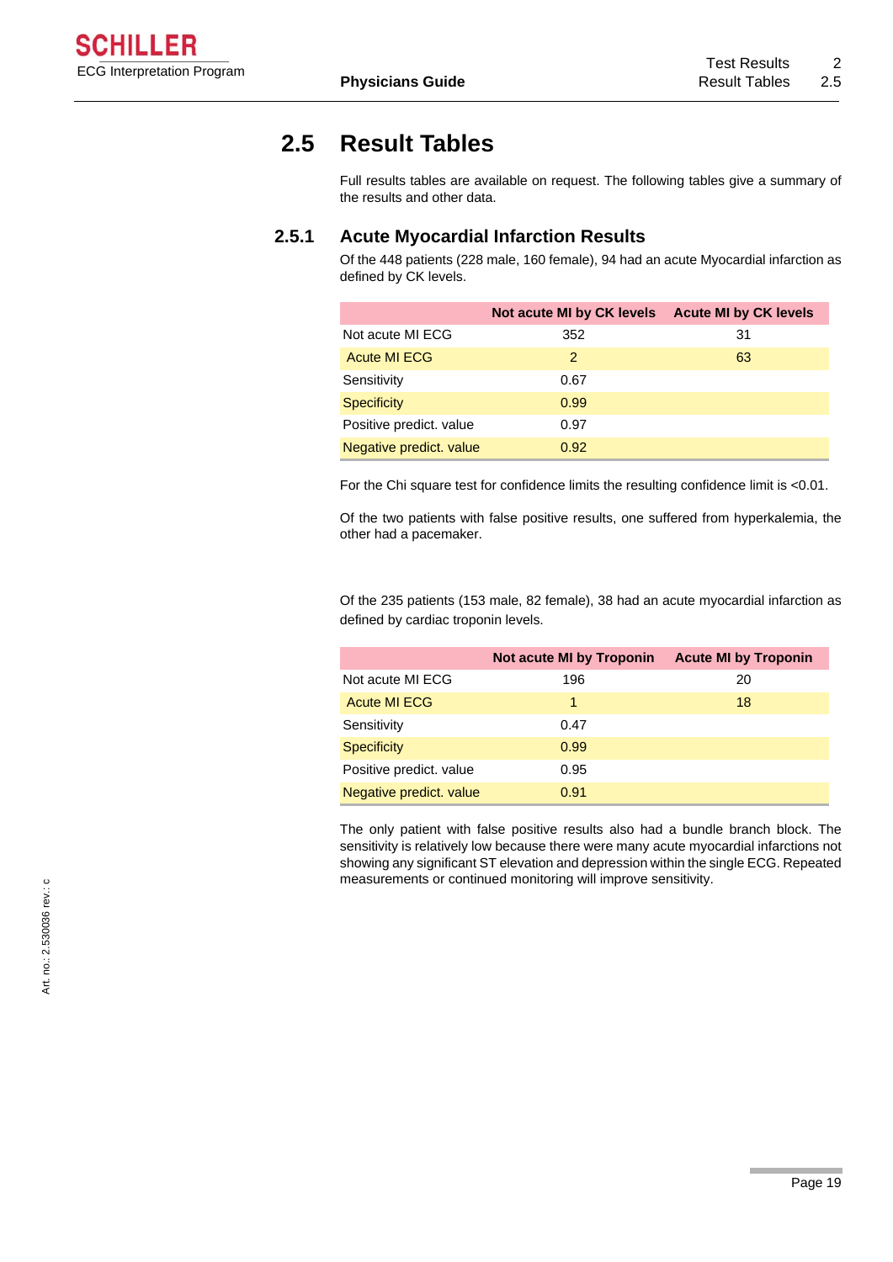## <span id="page-18-0"></span>**2.5 Result Tables**

Full results tables are available on request. The following tables give a summary of the results and other data.

#### <span id="page-18-1"></span>**2.5.1 Acute Myocardial Infarction Results**

Of the 448 patients (228 male, 160 female), 94 had an acute Myocardial infarction as defined by CK levels.

|                         | Not acute MI by CK levels | <b>Acute MI by CK levels</b> |
|-------------------------|---------------------------|------------------------------|
| Not acute MI ECG        | 352                       | 31                           |
| <b>Acute MI ECG</b>     | 2                         | 63                           |
| Sensitivity             | 0.67                      |                              |
| <b>Specificity</b>      | 0.99                      |                              |
| Positive predict. value | 0.97                      |                              |
| Negative predict. value | 0.92                      |                              |

For the Chi square test for confidence limits the resulting confidence limit is <0.01.

Of the two patients with false positive results, one suffered from hyperkalemia, the other had a pacemaker.

Of the 235 patients (153 male, 82 female), 38 had an acute myocardial infarction as defined by cardiac troponin levels.

|                         | <b>Not acute MI by Troponin</b> | <b>Acute MI by Troponin</b> |
|-------------------------|---------------------------------|-----------------------------|
| Not acute MI ECG        | 196                             | 20                          |
| <b>Acute MI ECG</b>     | 1                               | 18                          |
| Sensitivity             | 0.47                            |                             |
| <b>Specificity</b>      | 0.99                            |                             |
| Positive predict. value | 0.95                            |                             |
| Negative predict. value | 0.91                            |                             |

The only patient with false positive results also had a bundle branch block. The sensitivity is relatively low because there were many acute myocardial infarctions not showing any significant ST elevation and depression within the single ECG. Repeated measurements or continued monitoring will improve sensitivity.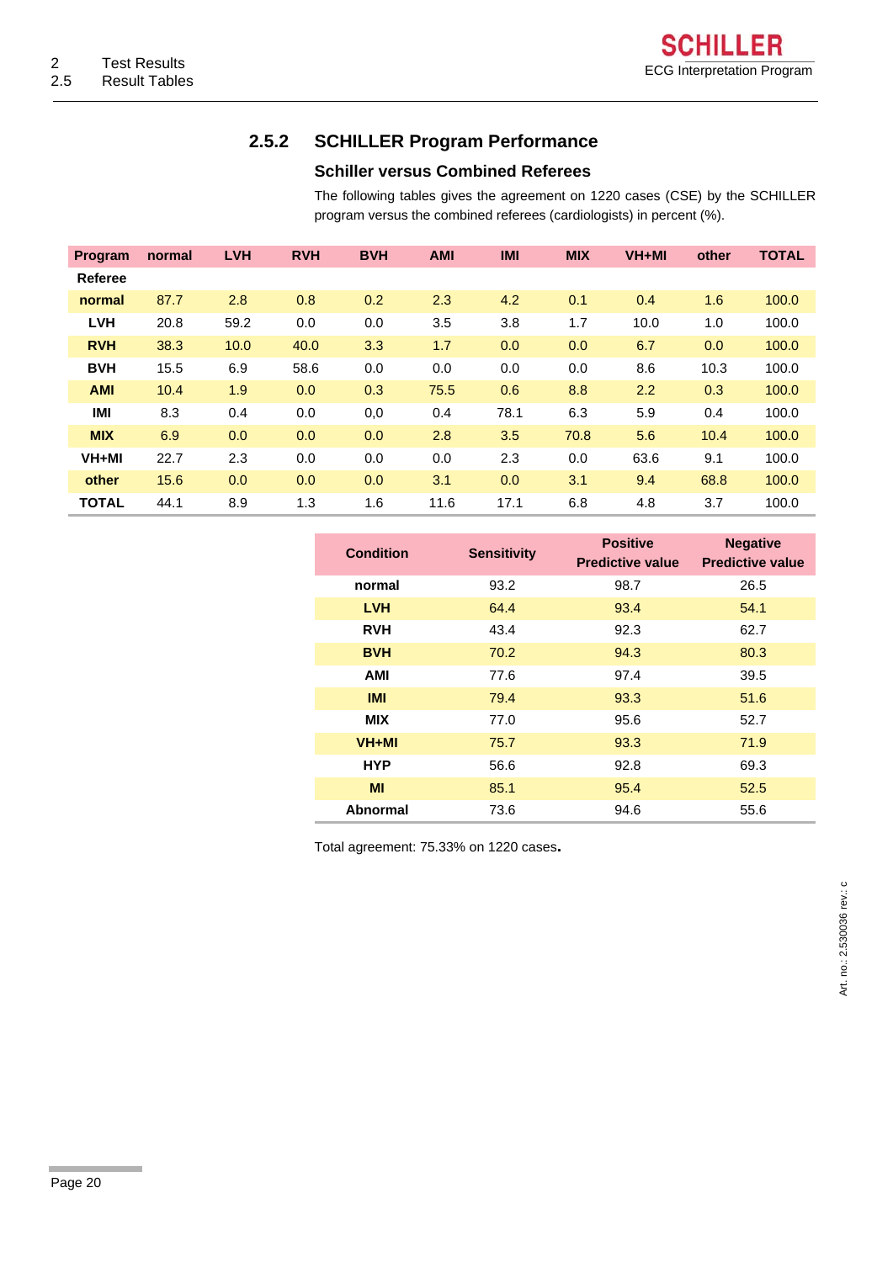#### **2.5.2 SCHILLER Program Performance**

#### **Schiller versus Combined Referees**

The following tables gives the agreement on 1220 cases (CSE) by the SCHILLER program versus the combined referees (cardiologists) in percent (%).

<span id="page-19-0"></span>

| <b>Program</b> | normal | <b>LVH</b> | <b>RVH</b> | <b>BVH</b> | <b>AMI</b> | <b>IMI</b> | <b>MIX</b> | $VH+MI$ | other | <b>TOTAL</b> |
|----------------|--------|------------|------------|------------|------------|------------|------------|---------|-------|--------------|
| Referee        |        |            |            |            |            |            |            |         |       |              |
| normal         | 87.7   | 2.8        | 0.8        | 0.2        | 2.3        | 4.2        | 0.1        | 0.4     | 1.6   | 100.0        |
| <b>LVH</b>     | 20.8   | 59.2       | 0.0        | 0.0        | 3.5        | 3.8        | 1.7        | 10.0    | 1.0   | 100.0        |
| <b>RVH</b>     | 38.3   | 10.0       | 40.0       | 3.3        | 1.7        | 0.0        | 0.0        | 6.7     | 0.0   | 100.0        |
| <b>BVH</b>     | 15.5   | 6.9        | 58.6       | 0.0        | 0.0        | 0.0        | 0.0        | 8.6     | 10.3  | 100.0        |
| <b>AMI</b>     | 10.4   | 1.9        | 0.0        | 0.3        | 75.5       | 0.6        | 8.8        | 2.2     | 0.3   | 100.0        |
| IMI            | 8.3    | 0.4        | 0.0        | 0,0        | 0.4        | 78.1       | 6.3        | 5.9     | 0.4   | 100.0        |
| <b>MIX</b>     | 6.9    | 0.0        | 0.0        | 0.0        | 2.8        | 3.5        | 70.8       | 5.6     | 10.4  | 100.0        |
| VH+MI          | 22.7   | 2.3        | 0.0        | 0.0        | 0.0        | 2.3        | 0.0        | 63.6    | 9.1   | 100.0        |
| other          | 15.6   | 0.0        | 0.0        | 0.0        | 3.1        | 0.0        | 3.1        | 9.4     | 68.8  | 100.0        |
| <b>TOTAL</b>   | 44.1   | 8.9        | 1.3        | 1.6        | 11.6       | 17.1       | 6.8        | 4.8     | 3.7   | 100.0        |

| <b>Condition</b> | <b>Sensitivity</b> | <b>Positive</b><br><b>Predictive value</b> | <b>Negative</b><br><b>Predictive value</b> |
|------------------|--------------------|--------------------------------------------|--------------------------------------------|
| normal           | 93.2               | 98.7                                       | 26.5                                       |
| <b>LVH</b>       | 64.4               | 93.4                                       | 54.1                                       |
| <b>RVH</b>       | 43.4               | 92.3                                       | 62.7                                       |
| <b>BVH</b>       | 70.2               | 94.3                                       | 80.3                                       |
| <b>AMI</b>       | 77.6               | 97.4                                       | 39.5                                       |
| <b>IMI</b>       | 79.4               | 93.3                                       | 51.6                                       |
| <b>MIX</b>       | 77.0               | 95.6                                       | 52.7                                       |
| <b>VH+MI</b>     | 75.7               | 93.3                                       | 71.9                                       |
| <b>HYP</b>       | 56.6               | 92.8                                       | 69.3                                       |
| <b>MI</b>        | 85.1               | 95.4                                       | 52.5                                       |
| <b>Abnormal</b>  | 73.6               | 94.6                                       | 55.6                                       |

Total agreement: 75.33% on 1220 cases**.**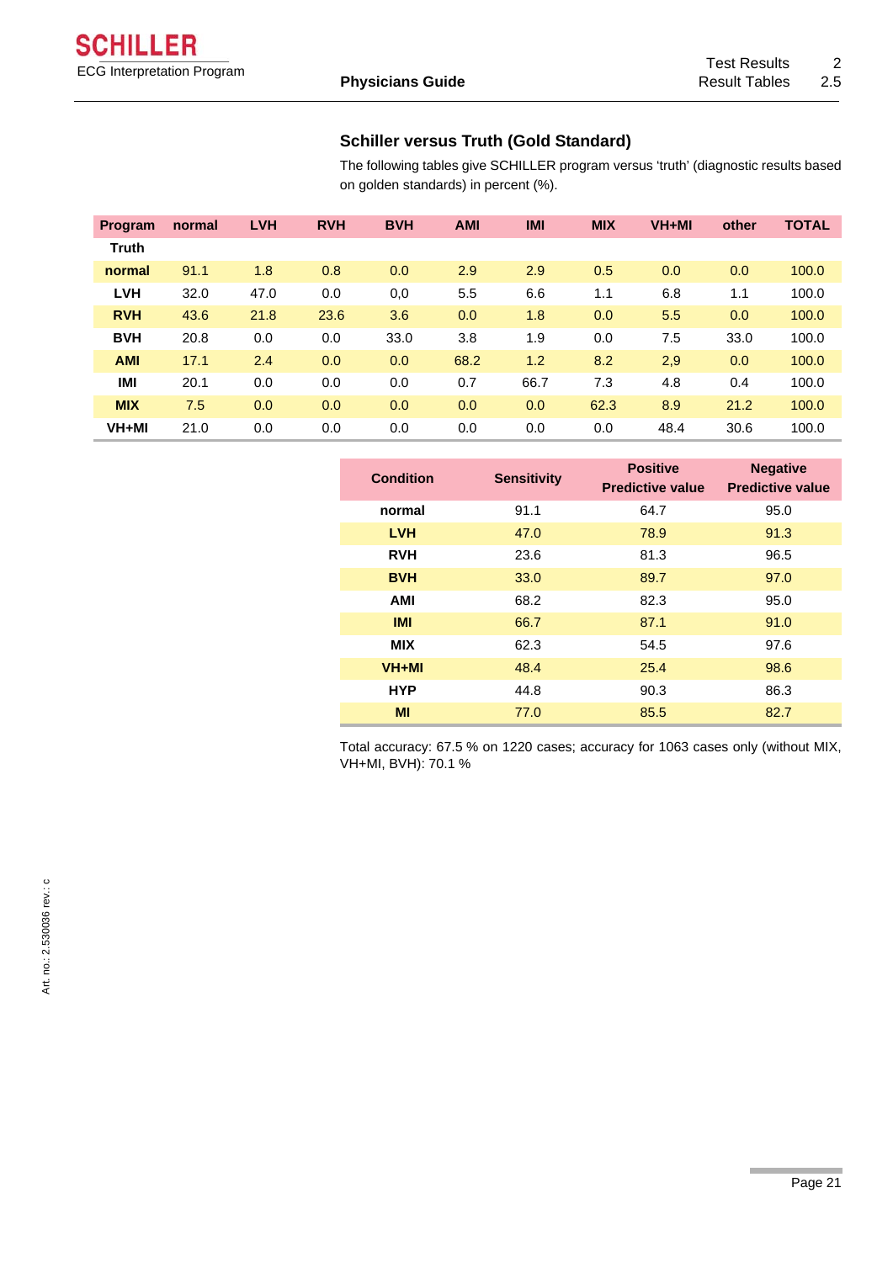#### **Schiller versus Truth (Gold Standard)**

The following tables give SCHILLER program versus 'truth' (diagnostic results based on golden standards) in percent (%).

| <b>Program</b> | normal | <b>LVH</b> | <b>RVH</b> | <b>BVH</b> | <b>AMI</b> | <b>IMI</b> | <b>MIX</b> | VH+MI | other | <b>TOTAL</b> |
|----------------|--------|------------|------------|------------|------------|------------|------------|-------|-------|--------------|
| <b>Truth</b>   |        |            |            |            |            |            |            |       |       |              |
| normal         | 91.1   | 1.8        | 0.8        | 0.0        | 2.9        | 2.9        | 0.5        | 0.0   | 0.0   | 100.0        |
| <b>LVH</b>     | 32.0   | 47.0       | 0.0        | 0,0        | 5.5        | 6.6        | 1.1        | 6.8   | 1.1   | 100.0        |
| <b>RVH</b>     | 43.6   | 21.8       | 23.6       | 3.6        | 0.0        | 1.8        | 0.0        | 5.5   | 0.0   | 100.0        |
| <b>BVH</b>     | 20.8   | 0.0        | 0.0        | 33.0       | 3.8        | 1.9        | 0.0        | 7.5   | 33.0  | 100.0        |
| <b>AMI</b>     | 17.1   | 2.4        | 0.0        | 0.0        | 68.2       | 1.2        | 8.2        | 2,9   | 0.0   | 100.0        |
| <b>IMI</b>     | 20.1   | 0.0        | 0.0        | 0.0        | 0.7        | 66.7       | 7.3        | 4.8   | 0.4   | 100.0        |
| <b>MIX</b>     | 7.5    | 0.0        | 0.0        | 0.0        | 0.0        | 0.0        | 62.3       | 8.9   | 21.2  | 100.0        |
| VH+MI          | 21.0   | 0.0        | 0.0        | 0.0        | 0.0        | 0.0        | 0.0        | 48.4  | 30.6  | 100.0        |

| <b>Condition</b> | <b>Sensitivity</b> | <b>Positive</b><br><b>Predictive value</b> | <b>Negative</b><br><b>Predictive value</b> |  |  |  |
|------------------|--------------------|--------------------------------------------|--------------------------------------------|--|--|--|
| normal           | 91.1               | 64.7                                       | 95.0                                       |  |  |  |
| <b>LVH</b>       | 47.0               | 78.9                                       | 91.3                                       |  |  |  |
| <b>RVH</b>       | 23.6               | 81.3                                       | 96.5                                       |  |  |  |
| <b>BVH</b>       | 33.0               | 89.7                                       | 97.0                                       |  |  |  |
| <b>AMI</b>       | 68.2               | 82.3                                       | 95.0                                       |  |  |  |
| <b>IMI</b>       | 66.7               | 87.1                                       | 91.0                                       |  |  |  |
| <b>MIX</b>       | 62.3               | 54.5                                       | 97.6                                       |  |  |  |
| $VH+MI$          | 48.4               | 25.4                                       | 98.6                                       |  |  |  |
| <b>HYP</b>       | 44.8               | 90.3                                       | 86.3                                       |  |  |  |
| MI               | 77.0               | 85.5                                       | 82.7                                       |  |  |  |

Total accuracy: 67.5 % on 1220 cases; accuracy for 1063 cases only (without MIX, VH+MI, BVH): 70.1 %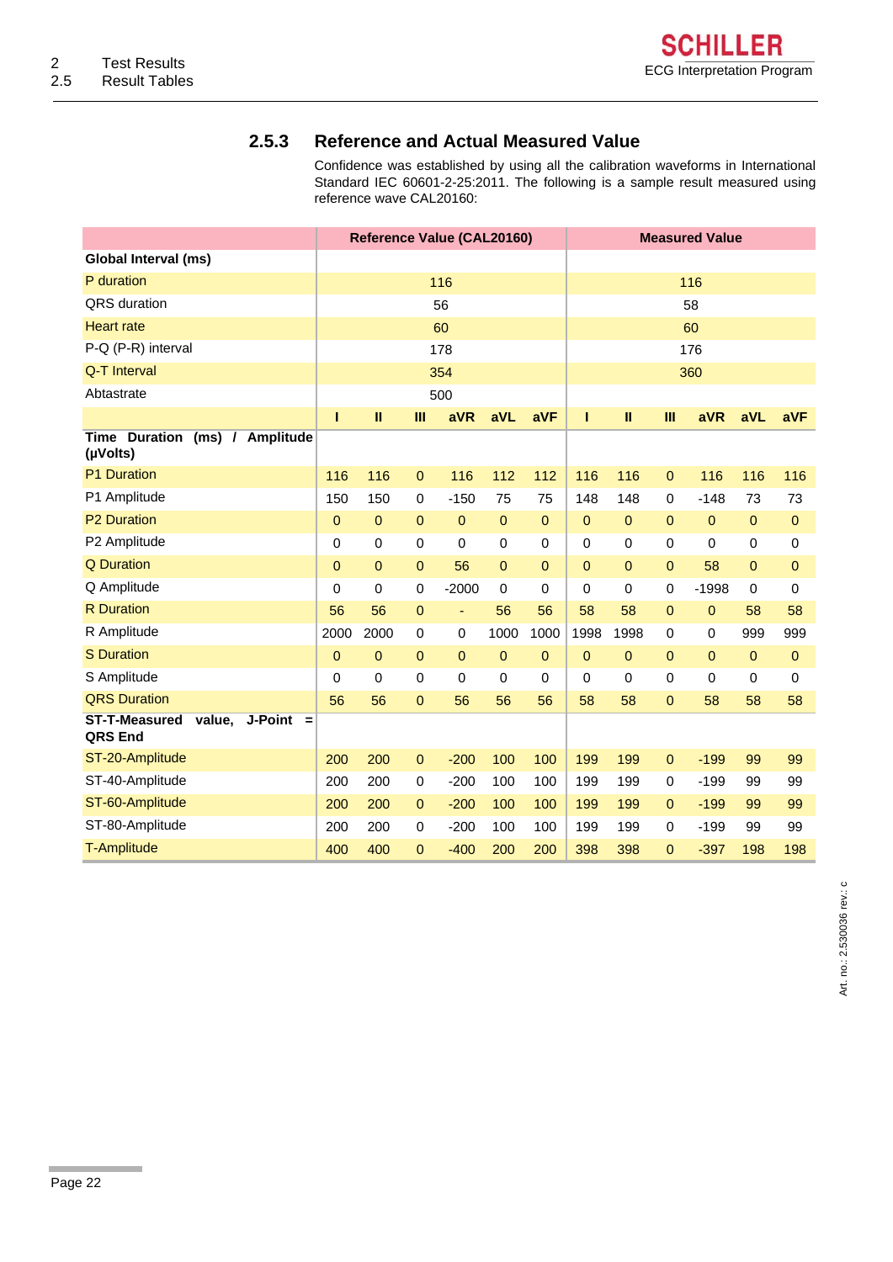#### **2.5.3 Reference and Actual Measured Value**

Confidence was established by using all the calibration waveforms in International Standard IEC 60601-2-25:2011. The following is a sample result measured using reference wave CAL20160:

<span id="page-21-0"></span>

|                                                          | Reference Value (CAL20160) |                                         |                |                |                |              | <b>Measured Value</b> |           |              |           |              |             |  |  |
|----------------------------------------------------------|----------------------------|-----------------------------------------|----------------|----------------|----------------|--------------|-----------------------|-----------|--------------|-----------|--------------|-------------|--|--|
| Global Interval (ms)                                     |                            |                                         |                |                |                |              |                       |           |              |           |              |             |  |  |
| P duration                                               | 116                        |                                         |                |                |                |              |                       | 116       |              |           |              |             |  |  |
| <b>QRS</b> duration                                      | 56                         |                                         |                |                |                |              |                       | 58        |              |           |              |             |  |  |
| <b>Heart rate</b>                                        | 60                         |                                         |                |                |                |              |                       | 60        |              |           |              |             |  |  |
| P-Q (P-R) interval                                       | 178                        |                                         |                |                |                |              |                       | 176       |              |           |              |             |  |  |
| Q-T Interval                                             |                            | 354                                     |                |                |                |              |                       |           | 360          |           |              |             |  |  |
| Abtastrate                                               |                            |                                         | 500            |                |                |              |                       |           |              |           |              |             |  |  |
|                                                          | T                          | $\mathbf{II}$<br>Ш<br>aVR<br>aVL<br>aVF |                |                |                |              |                       | Ш         | Ш            | aVR       | aVL          | aVF         |  |  |
| Time Duration (ms) /<br>Amplitude<br>(µVolts)            |                            |                                         |                |                |                |              |                       |           |              |           |              |             |  |  |
| <b>P1 Duration</b>                                       | 116                        | 116                                     | $\pmb{0}$      | 116            | 112            | 112          | 116                   | 116       | $\mathbf 0$  | 116       | 116          | 116         |  |  |
| P1 Amplitude                                             | 150                        | 150                                     | 0              | $-150$         | 75             | 75           | 148                   | 148       | 0            | $-148$    | 73           | 73          |  |  |
| <b>P2 Duration</b>                                       | $\mathbf 0$                | $\mathbf 0$                             | $\pmb{0}$      | $\mathbf 0$    | $\mathbf 0$    | $\mathbf{0}$ | $\mathbf{0}$          | $\pmb{0}$ | $\mathbf 0$  | $\pmb{0}$ | $\mathbf{0}$ | $\mathbf 0$ |  |  |
| P2 Amplitude                                             |                            | 0                                       | 0              | 0              | 0              | 0            | 0                     | 0         | $\mathsf 0$  | 0         | 0            | 0           |  |  |
| <b>Q</b> Duration                                        |                            | $\mathbf 0$                             | $\pmb{0}$      | 56             | $\overline{0}$ | $\mathbf{0}$ | $\mathbf{0}$          | $\pmb{0}$ | $\mathbf 0$  | 58        | $\mathbf 0$  | $\mathbf 0$ |  |  |
| Q Amplitude                                              |                            | $\mathbf 0$                             | 0              | $-2000$        | $\pmb{0}$      | $\mathbf 0$  | $\mathsf 0$           | $\pmb{0}$ | 0            | $-1998$   | $\pmb{0}$    | $\pmb{0}$   |  |  |
| <b>R</b> Duration                                        | 56                         | 56                                      | $\mathbf 0$    | $\blacksquare$ | 56             | 56           | 58                    | 58        | $\mathbf 0$  | $\pmb{0}$ | 58           | 58          |  |  |
| R Amplitude                                              | 2000                       | 2000                                    | $\pmb{0}$      | $\pmb{0}$      | 1000           | 1000         | 1998                  | 1998      | 0            | 0         | 999          | 999         |  |  |
| <b>S</b> Duration                                        | $\bf 0$                    | $\pmb{0}$                               | $\bf 0$        | $\pmb{0}$      | $\mathbf 0$    | $\mathbf{0}$ | $\mathbf{0}$          | $\pmb{0}$ | $\mathbf 0$  | $\pmb{0}$ | $\bf 0$      | $\mathbf 0$ |  |  |
| S Amplitude                                              | 0                          | 0                                       | 0              | 0              | 0              | 0            | 0                     | $\pmb{0}$ | $\mathsf 0$  | 0         | $\mathbf 0$  | $\mathbf 0$ |  |  |
| <b>QRS Duration</b>                                      | 56                         | 56                                      | $\bf 0$        | 56             | 56             | 56           | 58                    | 58        | $\mathbf 0$  | 58        | 58           | 58          |  |  |
| $J-Point =$<br><b>ST-T-Measured</b><br>value,<br>QRS End |                            |                                         |                |                |                |              |                       |           |              |           |              |             |  |  |
| ST-20-Amplitude                                          | 200                        | 200                                     | $\pmb{0}$      | $-200$         | 100            | 100          | 199                   | 199       | $\pmb{0}$    | $-199$    | 99           | 99          |  |  |
| ST-40-Amplitude                                          |                            | 200                                     | 0              | $-200$         | 100            | 100          | 199                   | 199       | 0            | $-199$    | 99           | 99          |  |  |
| ST-60-Amplitude                                          |                            | 200                                     | $\pmb{0}$      | $-200$         | 100            | 100          | 199                   | 199       | $\pmb{0}$    | $-199$    | 99           | 99          |  |  |
| ST-80-Amplitude                                          | 200                        | 200                                     | 0              | $-200$         | 100            | 100          | 199                   | 199       | 0            | $-199$    | 99           | 99          |  |  |
| <b>T-Amplitude</b>                                       | 400                        | 400                                     | $\overline{0}$ | $-400$         | 200            | 200          | 398                   | 398       | $\mathbf{0}$ | $-397$    | 198          | 198         |  |  |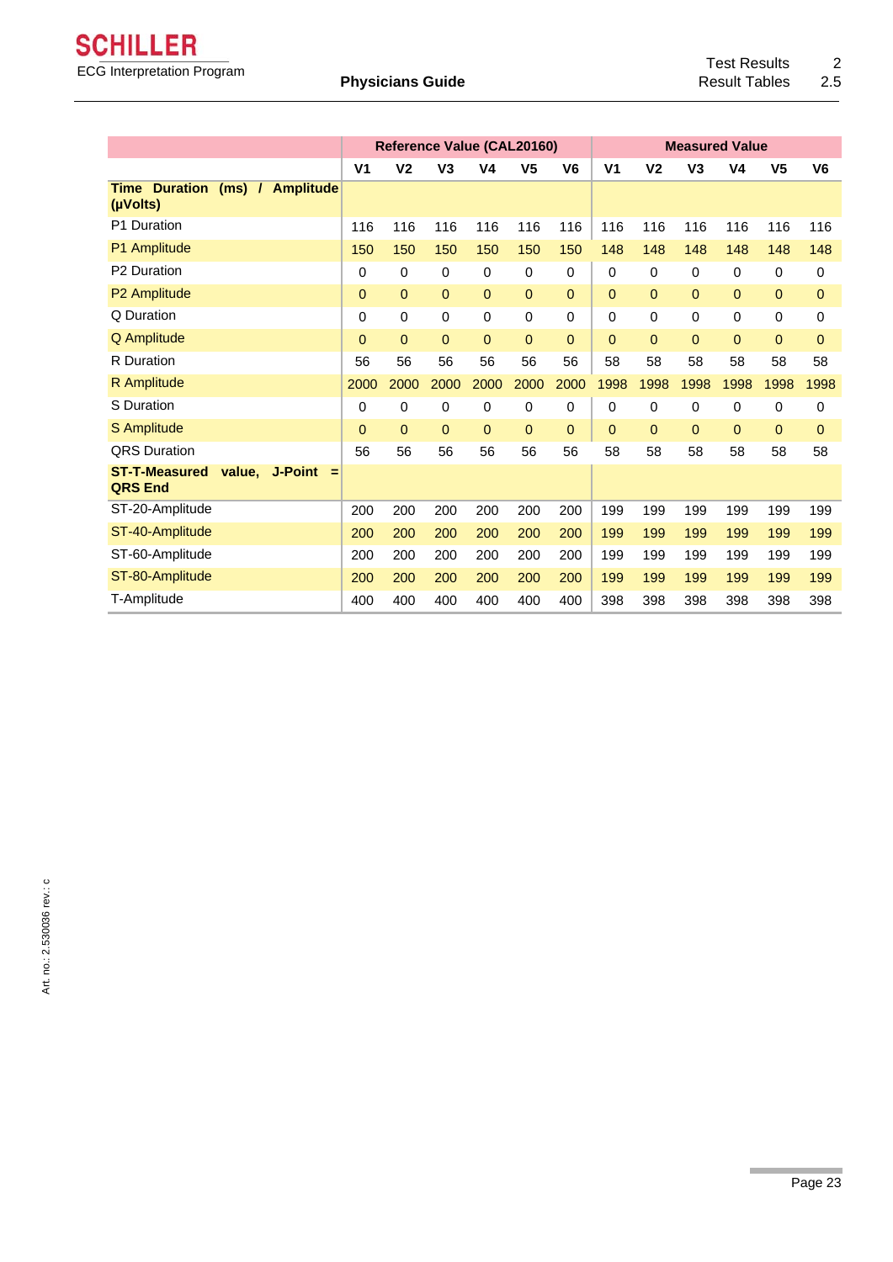|                                                                                    | Reference Value (CAL20160) |                |                |                |                |                | <b>Measured Value</b> |                |                |                |                |                |
|------------------------------------------------------------------------------------|----------------------------|----------------|----------------|----------------|----------------|----------------|-----------------------|----------------|----------------|----------------|----------------|----------------|
|                                                                                    | V <sub>1</sub>             | V <sub>2</sub> | V <sub>3</sub> | V <sub>4</sub> | V <sub>5</sub> | V <sub>6</sub> | V <sub>1</sub>        | V <sub>2</sub> | V <sub>3</sub> | V <sub>4</sub> | V <sub>5</sub> | V <sub>6</sub> |
| <b>Duration</b><br>(ms)<br><b>Amplitude</b><br>$\prime$<br><b>Time</b><br>(µVolts) |                            |                |                |                |                |                |                       |                |                |                |                |                |
| P1 Duration                                                                        | 116                        | 116            | 116            | 116            | 116            | 116            | 116                   | 116            | 116            | 116            | 116            | 116            |
| P1 Amplitude                                                                       | 150                        | 150            | 150            | 150            | 150            | 150            | 148                   | 148            | 148            | 148            | 148            | 148            |
| P <sub>2</sub> Duration                                                            | 0                          | 0              | 0              | 0              | 0              | 0              | 0                     | 0              | $\mathbf 0$    | 0              | 0              | 0              |
| P2 Amplitude                                                                       |                            | $\overline{0}$ | $\overline{0}$ | $\mathbf{0}$   | $\overline{0}$ | $\Omega$       | $\Omega$              | 0              | $\overline{0}$ | 0              | $\mathbf 0$    | $\mathbf{0}$   |
| Q Duration                                                                         |                            | 0              | 0              | 0              | 0              | $\Omega$       | 0                     | 0              | $\mathbf 0$    | 0              | 0              | $\mathbf 0$    |
| Q Amplitude                                                                        |                            | 0              | 0              | $\mathbf{0}$   | $\mathbf{0}$   | $\Omega$       | $\overline{0}$        | $\overline{0}$ | $\overline{0}$ | 0              | $\pmb{0}$      | $\mathbf{0}$   |
| <b>R</b> Duration                                                                  |                            | 56             | 56             | 56             | 56             | 56             | 58                    | 58             | 58             | 58             | 58             | 58             |
| R Amplitude                                                                        |                            | 2000           | 2000           | 2000           | 2000           | 2000           | 1998                  | 1998           | 1998           | 1998           | 1998           | 1998           |
| S Duration                                                                         |                            | 0              | 0              | 0              | 0              | 0              | 0                     | 0              | 0              | 0              | $\pmb{0}$      | 0              |
| <b>S</b> Amplitude                                                                 | $\overline{0}$             | $\overline{0}$ | $\overline{0}$ | $\mathbf{0}$   | $\mathbf{0}$   | $\overline{0}$ | 0                     | $\overline{0}$ | $\overline{0}$ | 0              | $\mathbf 0$    | $\mathbf{0}$   |
| <b>QRS</b> Duration                                                                | 56                         | 56             | 56             | 56             | 56             | 56             | 58                    | 58             | 58             | 58             | 58             | 58             |
| <b>ST-T-Measured</b><br>$J-Point =$<br>value,<br><b>QRS End</b>                    |                            |                |                |                |                |                |                       |                |                |                |                |                |
| ST-20-Amplitude                                                                    | 200                        | 200            | 200            | 200            | 200            | 200            | 199                   | 199            | 199            | 199            | 199            | 199            |
| ST-40-Amplitude                                                                    |                            | 200            | 200            | 200            | 200            | 200            | 199                   | 199            | 199            | 199            | 199            | 199            |
| ST-60-Amplitude                                                                    |                            | 200            | 200            | 200            | 200            | 200            | 199                   | 199            | 199            | 199            | 199            | 199            |
| ST-80-Amplitude                                                                    |                            | 200            | 200            | 200            | 200            | 200            | 199                   | 199            | 199            | 199            | 199            | 199            |
| T-Amplitude                                                                        | 400                        | 400            | 400            | 400            | 400            | 400            | 398                   | 398            | 398            | 398            | 398            | 398            |

×